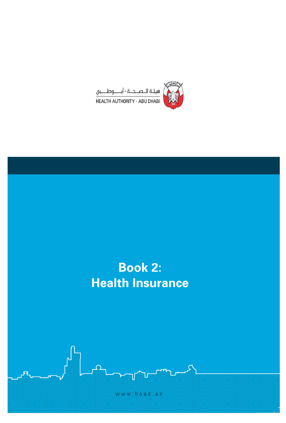HEALTH AUTHORITY - ABU DHABI



# **Health Insurance**

www.haad.ae

μ

ռ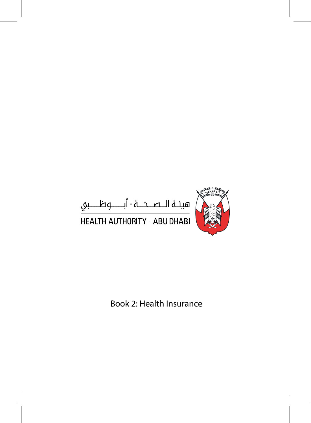



Book 2: Health Insurance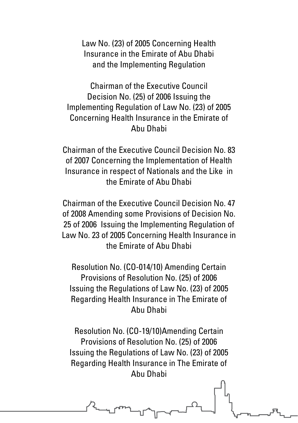Law No. (23) of 2005 Concerning Health Insurance in the Emirate of Abu Dhabi and the Implementing Regulation

Chairman of the Executive Council Decision No. (25) of 2006 Issuing the Implementing Regulation of Law No. (23) of 2005 Concerning Health Insurance in the Emirate of Abu Dhabi

Chairman of the Executive Council Decision No. 83 of 2007 Concerning the Implementation of Health Insurance in respect of Nationals and the Like in the Emirate of Abu Dhabi

Chairman of the Executive Council Decision No. 47 of 2008 Amending some Provisions of Decision No. 25 of 2006 Issuing the Implementing Regulation of Law No. 23 of 2005 Concerning Health Insurance in the Emirate of Abu Dhabi

Resolution No. (CO-014/10) Amending Certain Provisions of Resolution No. (25) of 2006 Issuing the Regulations of Law No. (23) of 2005 Regarding Health Insurance in The Emirate of Abu Dhabi

Resolution No. (CO-19/10)Amending Certain Provisions of Resolution No. (25) of 2006 Issuing the Regulations of Law No. (23) of 2005 Regarding Health Insurance in The Emirate of Abu Dhabi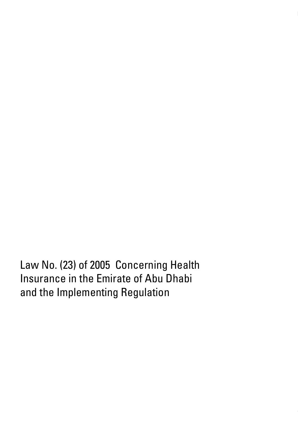Law No. (23) of 2005 Concerning Health Insurance in the Emirate of Abu Dhabi and the Implementing Regulation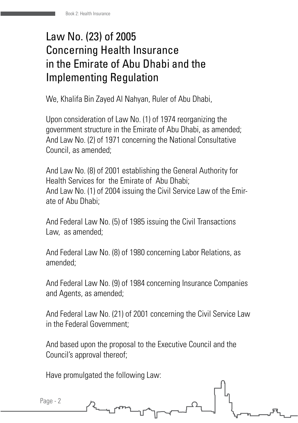#### Law No. (23) of 2005 Concerning Health Insurance in the Emirate of Abu Dhabi and the Implementing Regulation

We, Khalifa Bin Zayed Al Nahyan, Ruler of Abu Dhabi,

Upon consideration of Law No. (1) of 1974 reorganizing the government structure in the Emirate of Abu Dhabi, as amended; And Law No. (2) of 1971 concerning the National Consultative Council, as amended;

And Law No. (8) of 2001 establishing the General Authority for Health Services for the Emirate of Abu Dhabi; And Law No. (1) of 2004 issuing the Civil Service Law of the Emirate of Abu Dhabi;

And Federal Law No. (5) of 1985 issuing the Civil Transactions Law, as amended;

And Federal Law No. (8) of 1980 concerning Labor Relations, as amended;

And Federal Law No. (9) of 1984 concerning Insurance Companies and Agents, as amended;

And Federal Law No. (21) of 2001 concerning the Civil Service Law in the Federal Government;

And based upon the proposal to the Executive Council and the Council's approval thereof;

Have promulgated the following Law:

Page - 2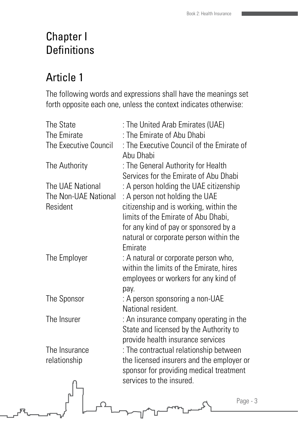#### Chapter I **Definitions**

#### Article 1

只

The following words and expressions shall have the meanings set forth opposite each one, unless the context indicates otherwise:

| The State<br>The Emirate | : The United Arab Emirates (UAE)<br>: The Emirate of Abu Dhabi              |
|--------------------------|-----------------------------------------------------------------------------|
| The Executive Council    | : The Executive Council of the Emirate of<br>Abu Dhabi                      |
| The Authority            | : The General Authority for Health<br>Services for the Emirate of Abu Dhabi |
| The UAE National         | : A person holding the UAE citizenship                                      |
| The Non-UAE National     | : A person not holding the UAE                                              |
| Resident                 | citizenship and is working, within the                                      |
|                          | limits of the Emirate of Abu Dhabi,                                         |
|                          | for any kind of pay or sponsored by a                                       |
|                          | natural or corporate person within the                                      |
|                          | Emirate                                                                     |
| The Employer             | : A natural or corporate person who,                                        |
|                          | within the limits of the Emirate, hires                                     |
|                          | employees or workers for any kind of                                        |
|                          | pay.                                                                        |
| The Sponsor              | : A person sponsoring a non-UAE                                             |
|                          | National resident.                                                          |
| The Insurer              | : An insurance company operating in the                                     |
|                          | State and licensed by the Authority to                                      |
|                          | provide health insurance services                                           |
| The Insurance            | : The contractual relationship between                                      |
| relationship             | the licensed insurers and the employer or                                   |
|                          | sponsor for providing medical treatment                                     |
|                          | services to the insured.                                                    |
|                          |                                                                             |
|                          | Page - 3<br>$\sim$                                                          |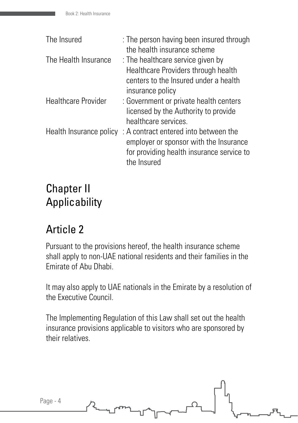| : The person having been insured through  |
|-------------------------------------------|
| the health insurance scheme               |
| : The healthcare service given by         |
| Healthcare Providers through health       |
| centers to the Insured under a health     |
| insurance policy                          |
| : Government or private health centers    |
| licensed by the Authority to provide      |
| healthcare services.                      |
| : A contract entered into between the     |
| employer or sponsor with the Insurance    |
| for providing health insurance service to |
| the Insured                               |
|                                           |

## Chapter II Applicability

#### Article 2

Pursuant to the provisions hereof, the health insurance scheme shall apply to non-UAE national residents and their families in the Emirate of Abu Dhabi.

It may also apply to UAE nationals in the Emirate by a resolution of the Executive Council.

The Implementing Regulation of this Law shall set out the health insurance provisions applicable to visitors who are sponsored by their relatives.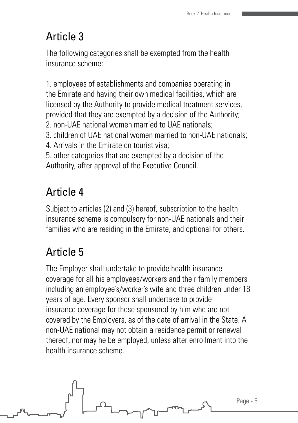#### Article 3

The following categories shall be exempted from the health insurance scheme:

1. employees of establishments and companies operating in the Emirate and having their own medical facilities, which are licensed by the Authority to provide medical treatment services, provided that they are exempted by a decision of the Authority;

- 2. non-UAE national women married to UAE nationals;
- 3. children of UAE national women married to non-UAE nationals;
- 4. Arrivals in the Emirate on tourist visa;
- 5. other categories that are exempted by a decision of the Authority, after approval of the Executive Council.

# Article 4

Subject to articles (2) and (3) hereof, subscription to the health insurance scheme is compulsory for non-UAE nationals and their families who are residing in the Emirate, and optional for others.

# Article 5

The Employer shall undertake to provide health insurance coverage for all his employees/workers and their family members including an employee's/worker's wife and three children under 18 years of age. Every sponsor shall undertake to provide insurance coverage for those sponsored by him who are not covered by the Employers, as of the date of arrival in the State. A non-UAE national may not obtain a residence permit or renewal thereof, nor may he be employed, unless after enrollment into the health insurance scheme.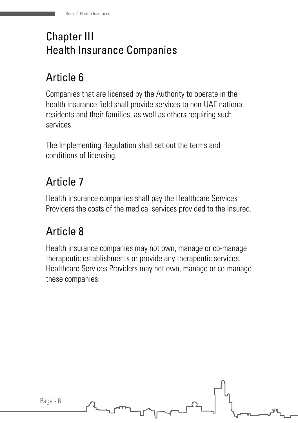## Chapter III Health Insurance Companies

## Article 6

Companies that are licensed by the Authority to operate in the health insurance field shall provide services to non-UAE national residents and their families, as well as others requiring such services.

The Implementing Regulation shall set out the terms and conditions of licensing.

# Article 7

Health insurance companies shall pay the Healthcare Services Providers the costs of the medical services provided to the Insured.

## Article 8

Health insurance companies may not own, manage or co-manage therapeutic establishments or provide any therapeutic services. Healthcare Services Providers may not own, manage or co-manage these companies.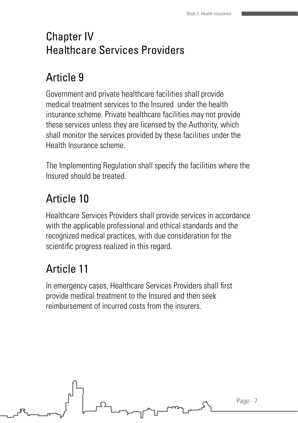#### Chapter IV Healthcare Services Providers

#### Article 9

Government and private healthcare facilities shall provide medical treatment services to the Insured under the health insurance scheme. Private healthcare facilities may not provide these services unless they are licensed by the Authority, which shall monitor the services provided by these facilities under the Health Insurance scheme.

The Implementing Regulation shall specify the facilities where the Insured should be treated.

## Article 10

Healthcare Services Providers shall provide services in accordance with the applicable professional and ethical standards and the recognized medical practices, with due consideration for the scientific progress realized in this regard.

## Article 11

In emergency cases, Healthcare Services Providers shall first provide medical treatment to the Insured and then seek reimbursement of incurred costs from the insurers.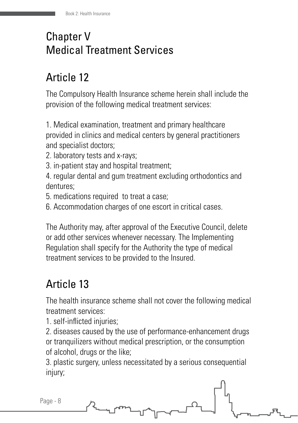## Chapter V Medical Treatment Services

# Article 12

The Compulsory Health Insurance scheme herein shall include the provision of the following medical treatment services:

1. Medical examination, treatment and primary healthcare provided in clinics and medical centers by general practitioners and specialist doctors;

- 2. laboratory tests and x-rays;
- 3. in-patient stay and hospital treatment;

4. regular dental and gum treatment excluding orthodontics and dentures;

- 5. medications required to treat a case;
- 6. Accommodation charges of one escort in critical cases.

The Authority may, after approval of the Executive Council, delete or add other services whenever necessary. The Implementing Regulation shall specify for the Authority the type of medical treatment services to be provided to the Insured.

# Article 13

The health insurance scheme shall not cover the following medical treatment services:

1. self-inflicted injuries;

2. diseases caused by the use of performance-enhancement drugs or tranquilizers without medical prescription, or the consumption of alcohol, drugs or the like;

3. plastic surgery, unless necessitated by a serious consequential injury;

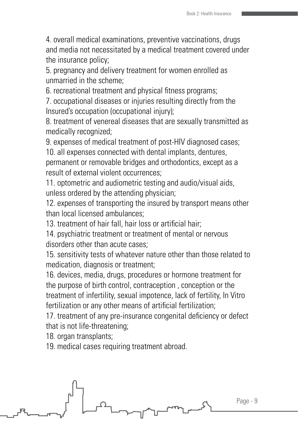4. overall medical examinations, preventive vaccinations, drugs and media not necessitated by a medical treatment covered under the insurance policy;

5. pregnancy and delivery treatment for women enrolled as unmarried in the scheme;

6. recreational treatment and physical fitness programs;

7. occupational diseases or injuries resulting directly from the Insured's occupation (occupational injury);

8. treatment of venereal diseases that are sexually transmitted as medically recognized;

9. expenses of medical treatment of post-HIV diagnosed cases; 10. all expenses connected with dental implants, dentures, permanent or removable bridges and orthodontics, except as a

result of external violent occurrences;

11. optometric and audiometric testing and audio/visual aids, unless ordered by the attending physician;

12. expenses of transporting the insured by transport means other than local licensed ambulances;

13. treatment of hair fall, hair loss or artificial hair;

14. psychiatric treatment or treatment of mental or nervous disorders other than acute cases;

15. sensitivity tests of whatever nature other than those related to medication, diagnosis or treatment;

16. devices, media, drugs, procedures or hormone treatment for the purpose of birth control, contraception , conception or the treatment of infertility, sexual impotence, lack of fertility, In Vitro fertilization or any other means of artificial fertilization;

17. treatment of any pre-insurance congenital deficiency or defect that is not life-threatening;

18. organ transplants;

19. medical cases requiring treatment abroad.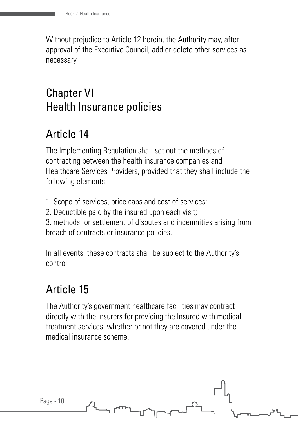Without prejudice to Article 12 herein, the Authority may, after approval of the Executive Council, add or delete other services as necessary.

## Chapter VI Health Insurance policies

## Article 14

The Implementing Regulation shall set out the methods of contracting between the health insurance companies and Healthcare Services Providers, provided that they shall include the following elements:

- 1. Scope of services, price caps and cost of services;
- 2. Deductible paid by the insured upon each visit;

3. methods for settlement of disputes and indemnities arising from breach of contracts or insurance policies.

In all events, these contracts shall be subject to the Authority's control.

# Article 15

Page - 10

The Authority's government healthcare facilities may contract directly with the Insurers for providing the Insured with medical treatment services, whether or not they are covered under the medical insurance scheme.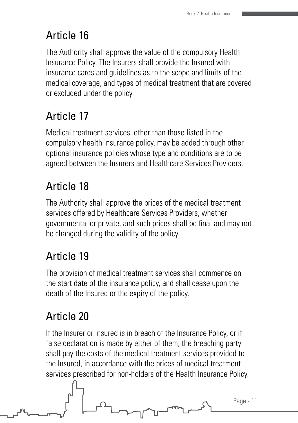# Article 16

The Authority shall approve the value of the compulsory Health Insurance Policy. The Insurers shall provide the Insured with insurance cards and guidelines as to the scope and limits of the medical coverage, and types of medical treatment that are covered or excluded under the policy.

# Article 17

Medical treatment services, other than those listed in the compulsory health insurance policy, may be added through other optional insurance policies whose type and conditions are to be agreed between the Insurers and Healthcare Services Providers.

# Article 18

The Authority shall approve the prices of the medical treatment services offered by Healthcare Services Providers, whether governmental or private, and such prices shall be final and may not be changed during the validity of the policy.

## Article 19

The provision of medical treatment services shall commence on the start date of the insurance policy, and shall cease upon the death of the Insured or the expiry of the policy.

# Article 20

If the Insurer or Insured is in breach of the Insurance Policy, or if false declaration is made by either of them, the breaching party shall pay the costs of the medical treatment services provided to the Insured, in accordance with the prices of medical treatment services prescribed for non-holders of the Health Insurance Policy.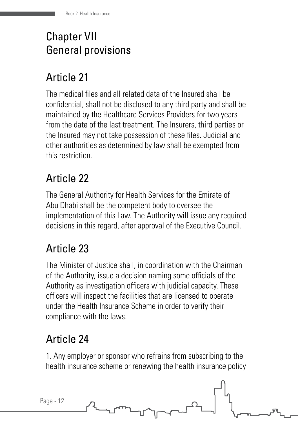## Chapter VII General provisions

# Article 21

The medical files and all related data of the Insured shall be confidential, shall not be disclosed to any third party and shall be maintained by the Healthcare Services Providers for two years from the date of the last treatment. The Insurers, third parties or the Insured may not take possession of these files. Judicial and other authorities as determined by law shall be exempted from this restriction.

# Article 22

The General Authority for Health Services for the Emirate of Abu Dhabi shall be the competent body to oversee the implementation of this Law. The Authority will issue any required decisions in this regard, after approval of the Executive Council.

# Article 23

The Minister of Justice shall, in coordination with the Chairman of the Authority, issue a decision naming some officials of the Authority as investigation officers with judicial capacity. These officers will inspect the facilities that are licensed to operate under the Health Insurance Scheme in order to verify their compliance with the laws.

# Article 24

1. Any employer or sponsor who refrains from subscribing to the health insurance scheme or renewing the health insurance policy

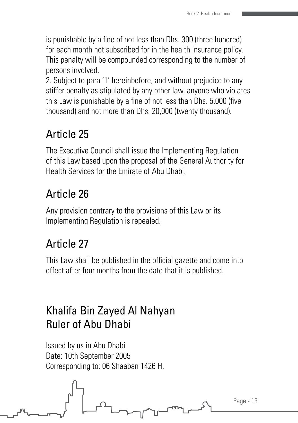is punishable by a fine of not less than Dhs. 300 (three hundred) for each month not subscribed for in the health insurance policy. This penalty will be compounded corresponding to the number of persons involved.

2. Subject to para '1' hereinbefore, and without prejudice to any stiffer penalty as stipulated by any other law, anyone who violates this Law is punishable by a fine of not less than Dhs. 5,000 (five thousand) and not more than Dhs. 20,000 (twenty thousand).

#### Article 25

The Executive Council shall issue the Implementing Regulation of this Law based upon the proposal of the General Authority for Health Services for the Emirate of Abu Dhabi.

# Article 26

Any provision contrary to the provisions of this Law or its Implementing Regulation is repealed.

# Article 27

This Law shall be published in the official gazette and come into effect after four months from the date that it is published.

## Khalifa Bin Zayed Al Nahyan Ruler of Abu Dhabi

Issued by us in Abu Dhabi Date: 10th September 2005 Corresponding to: 06 Shaaban 1426 H.

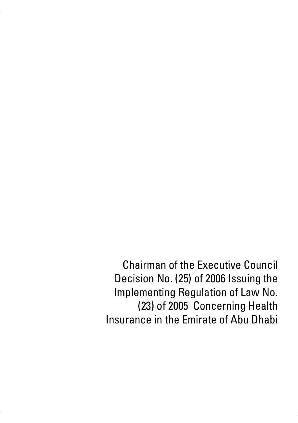Chairman of the Executive Council Decision No. (25) of 2006 Issuing the Implementing Regulation of Law No. (23) of 2005 Concerning Health Insurance in the Emirate of Abu Dhabi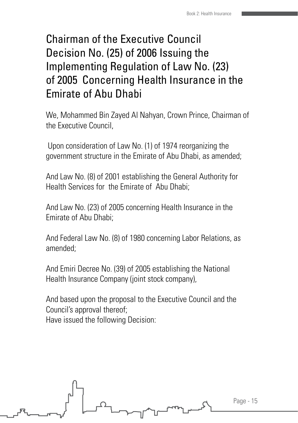#### Chairman of the Executive Council Decision No. (25) of 2006 Issuing the Implementing Regulation of Law No. (23) of 2005 Concerning Health Insurance in the Emirate of Abu Dhabi

We, Mohammed Bin Zayed Al Nahyan, Crown Prince, Chairman of the Executive Council,

 Upon consideration of Law No. (1) of 1974 reorganizing the government structure in the Emirate of Abu Dhabi, as amended;

And Law No. (8) of 2001 establishing the General Authority for Health Services for the Emirate of Abu Dhabi;

And Law No. (23) of 2005 concerning Health Insurance in the Emirate of Abu Dhabi;

And Federal Law No. (8) of 1980 concerning Labor Relations, as amended;

And Emiri Decree No. (39) of 2005 establishing the National Health Insurance Company (joint stock company),

And based upon the proposal to the Executive Council and the Council's approval thereof; Have issued the following Decision: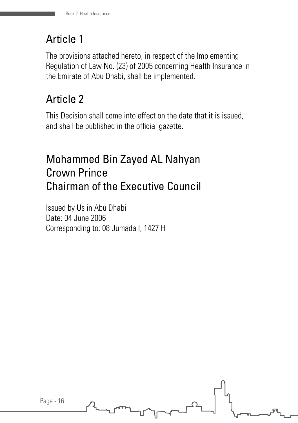# Article 1

The provisions attached hereto, in respect of the Implementing Regulation of Law No. (23) of 2005 concerning Health Insurance in the Emirate of Abu Dhabi, shall be implemented.

# Article 2

This Decision shall come into effect on the date that it is issued, and shall be published in the official gazette.

#### Mohammed Bin Zayed AL Nahyan Crown Prince Chairman of the Executive Council

Issued by Us in Abu Dhabi Date: 04 June 2006 Corresponding to: 08 Jumada I, 1427 H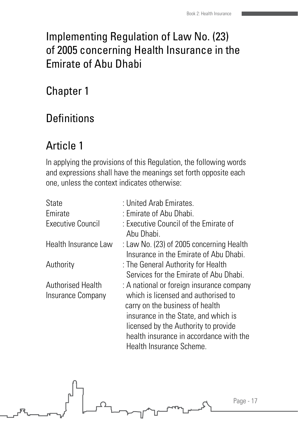#### Implementing Regulation of Law No. (23) of 2005 concerning Health Insurance in the Emirate of Abu Dhabi

#### Chapter 1

## **Definitions**

# Article 1

In applying the provisions of this Regulation, the following words and expressions shall have the meanings set forth opposite each one, unless the context indicates otherwise:

| State<br>Emirate<br><b>Executive Council</b> | : United Arab Emirates.<br>: Emirate of Abu Dhabi.<br>: Executive Council of the Emirate of<br>Abu Dhabi.                                                                                                                                                                  |
|----------------------------------------------|----------------------------------------------------------------------------------------------------------------------------------------------------------------------------------------------------------------------------------------------------------------------------|
| Health Insurance Law                         | : Law No. (23) of 2005 concerning Health<br>Insurance in the Emirate of Abu Dhabi.                                                                                                                                                                                         |
| Authority                                    | : The General Authority for Health<br>Services for the Emirate of Abu Dhabi.                                                                                                                                                                                               |
| Authorised Health<br>Insurance Company       | : A national or foreign insurance company<br>which is licensed and authorised to<br>carry on the business of health<br>insurance in the State, and which is<br>licensed by the Authority to provide<br>health insurance in accordance with the<br>Health Insurance Scheme. |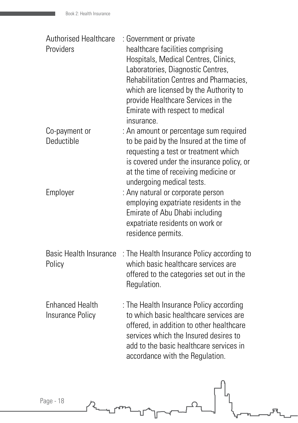| <b>Authorised Healthcare</b><br>Providers  | : Government or private<br>healthcare facilities comprising<br>Hospitals, Medical Centres, Clinics,<br>Laboratories, Diagnostic Centres,<br>Rehabilitation Centres and Pharmacies,<br>which are licensed by the Authority to<br>provide Healthcare Services in the<br>Emirate with respect to medical<br>insurance. |
|--------------------------------------------|---------------------------------------------------------------------------------------------------------------------------------------------------------------------------------------------------------------------------------------------------------------------------------------------------------------------|
| Co-payment or<br>Deductible                | : An amount or percentage sum required<br>to be paid by the Insured at the time of<br>requesting a test or treatment which<br>is covered under the insurance policy, or<br>at the time of receiving medicine or<br>undergoing medical tests.                                                                        |
| Employer                                   | : Any natural or corporate person<br>employing expatriate residents in the<br>Emirate of Abu Dhabi including<br>expatriate residents on work or<br>residence permits.                                                                                                                                               |
| <b>Basic Health Insurance</b><br>Policy    | : The Health Insurance Policy according to<br>which basic healthcare services are<br>offered to the categories set out in the<br>Regulation.                                                                                                                                                                        |
| <b>Enhanced Health</b><br>Insurance Policy | : The Health Insurance Policy according<br>to which basic healthcare services are<br>offered, in addition to other healthcare<br>services which the Insured desires to<br>add to the basic healthcare services in<br>accordance with the Regulation.                                                                |

 $\overline{\Omega}$ 

雷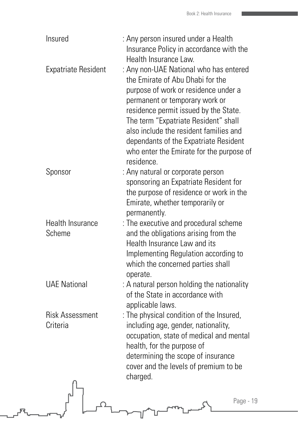| Insured                            | : Any person insured under a Health<br>Insurance Policy in accordance with the<br>Health Insurance Law.                                                                                                                                                                                                                                                                            |
|------------------------------------|------------------------------------------------------------------------------------------------------------------------------------------------------------------------------------------------------------------------------------------------------------------------------------------------------------------------------------------------------------------------------------|
| <b>Expatriate Resident</b>         | : Any non-UAE National who has entered<br>the Emirate of Abu Dhabi for the<br>purpose of work or residence under a<br>permanent or temporary work or<br>residence permit issued by the State.<br>The term "Expatriate Resident" shall<br>also include the resident families and<br>dependants of the Expatriate Resident<br>who enter the Emirate for the purpose of<br>residence. |
| Sponsor                            | : Any natural or corporate person<br>sponsoring an Expatriate Resident for<br>the purpose of residence or work in the<br>Emirate, whether temporarily or<br>permanently.                                                                                                                                                                                                           |
| <b>Health Insurance</b><br>Scheme  | : The executive and procedural scheme<br>and the obligations arising from the<br>Health Insurance Law and its<br>Implementing Regulation according to<br>which the concerned parties shall<br>operate.                                                                                                                                                                             |
| <b>UAE National</b>                | : A natural person holding the nationality<br>of the State in accordance with<br>applicable laws.                                                                                                                                                                                                                                                                                  |
| <b>Risk Assessment</b><br>Criteria | : The physical condition of the Insured,<br>including age, gender, nationality,<br>occupation, state of medical and mental<br>health, for the purpose of<br>determining the scope of insurance<br>cover and the levels of premium to be<br>charged.                                                                                                                                |
|                                    | Page - 1                                                                                                                                                                                                                                                                                                                                                                           |

ዺ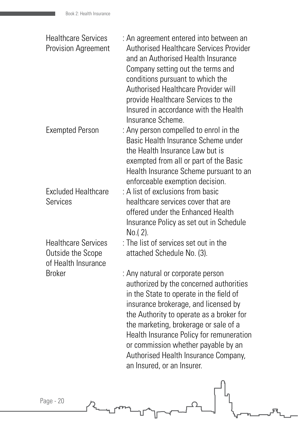| <b>Healthcare Services</b> | : An agreement entered into between an                                               |
|----------------------------|--------------------------------------------------------------------------------------|
| <b>Provision Agreement</b> | <b>Authorised Healthcare Services Provider</b><br>and an Authorised Health Insurance |
|                            | Company setting out the terms and                                                    |
|                            | conditions pursuant to which the                                                     |
|                            | Authorised Healthcare Provider will                                                  |
|                            | provide Healthcare Services to the                                                   |
|                            | Insured in accordance with the Health                                                |
|                            | Insurance Scheme.                                                                    |
| <b>Exempted Person</b>     | : Any person compelled to enrol in the                                               |
|                            | Basic Health Insurance Scheme under                                                  |
|                            | the Health Insurance Law but is                                                      |
|                            | exempted from all or part of the Basic                                               |
|                            | Health Insurance Scheme pursuant to an                                               |
|                            | enforceable exemption decision.                                                      |
| <b>Excluded Healthcare</b> | : A list of exclusions from basic                                                    |
| Services                   | healthcare services cover that are                                                   |
|                            | offered under the Enhanced Health                                                    |
|                            | Insurance Policy as set out in Schedule                                              |
|                            | $No. (2)$ .                                                                          |
| <b>Healthcare Services</b> | : The list of services set out in the                                                |
| Outside the Scope          | attached Schedule No. (3).                                                           |
| of Health Insurance        |                                                                                      |
| <b>Broker</b>              | : Any natural or corporate person                                                    |
|                            | authorized by the concerned authorities                                              |
|                            | in the State to operate in the field of                                              |
|                            | insurance brokerage, and licensed by                                                 |
|                            | the Authority to operate as a broker for                                             |
|                            | the marketing, brokerage or sale of a                                                |
|                            | Health Insurance Policy for remuneration                                             |
|                            | or commission whether payable by an                                                  |
|                            |                                                                                      |
|                            |                                                                                      |
|                            | Authorised Health Insurance Company,<br>an Insured, or an Insurer.                   |

 $\overline{\Omega}$ 

雷

Page - 20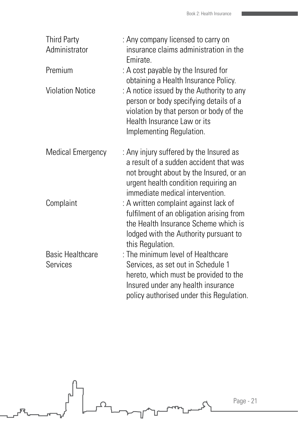| <b>Third Party</b><br>Administrator | : Any company licensed to carry on<br>insurance claims administration in the<br>Emirate.                                                                                                                |
|-------------------------------------|---------------------------------------------------------------------------------------------------------------------------------------------------------------------------------------------------------|
| Premium                             | : A cost payable by the Insured for<br>obtaining a Health Insurance Policy.                                                                                                                             |
| <b>Violation Notice</b>             | : A notice issued by the Authority to any<br>person or body specifying details of a<br>violation by that person or body of the<br>Health Insurance Law or its<br>Implementing Regulation.               |
| Medical Emergency                   | : Any injury suffered by the Insured as<br>a result of a sudden accident that was<br>not brought about by the Insured, or an<br>urgent health condition requiring an<br>immediate medical intervention. |
| Complaint                           | : A written complaint against lack of<br>fulfilment of an obligation arising from<br>the Health Insurance Scheme which is<br>lodged with the Authority pursuant to<br>this Regulation.                  |
| <b>Basic Healthcare</b><br>Services | : The minimum level of Healthcare<br>Services, as set out in Schedule 1<br>hereto, which must be provided to the<br>Insured under any health insurance<br>policy authorised under this Regulation.      |

 $\overline{C}$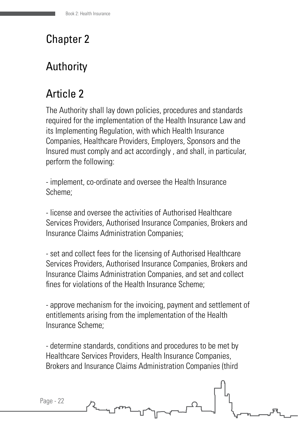## Chapter 2

# Authority

## Article 2

The Authority shall lay down policies, procedures and standards required for the implementation of the Health Insurance Law and its Implementing Regulation, with which Health Insurance Companies, Healthcare Providers, Employers, Sponsors and the Insured must comply and act accordingly , and shall, in particular, perform the following:

- implement, co-ordinate and oversee the Health Insurance Scheme;

- license and oversee the activities of Authorised Healthcare Services Providers, Authorised Insurance Companies, Brokers and Insurance Claims Administration Companies;

- set and collect fees for the licensing of Authorised Healthcare Services Providers, Authorised Insurance Companies, Brokers and Insurance Claims Administration Companies, and set and collect fines for violations of the Health Insurance Scheme;

- approve mechanism for the invoicing, payment and settlement of entitlements arising from the implementation of the Health Insurance Scheme;

- determine standards, conditions and procedures to be met by Healthcare Services Providers, Health Insurance Companies, Brokers and Insurance Claims Administration Companies (third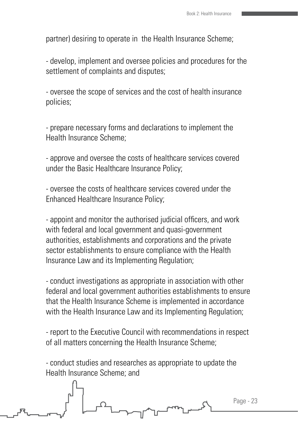partner) desiring to operate in the Health Insurance Scheme;

- develop, implement and oversee policies and procedures for the settlement of complaints and disputes;

- oversee the scope of services and the cost of health insurance policies;

- prepare necessary forms and declarations to implement the Health Insurance Scheme;

- approve and oversee the costs of healthcare services covered under the Basic Healthcare Insurance Policy;

- oversee the costs of healthcare services covered under the Enhanced Healthcare Insurance Policy;

- appoint and monitor the authorised judicial officers, and work with federal and local government and quasi-government authorities, establishments and corporations and the private sector establishments to ensure compliance with the Health Insurance Law and its Implementing Regulation;

- conduct investigations as appropriate in association with other federal and local government authorities establishments to ensure that the Health Insurance Scheme is implemented in accordance with the Health Insurance Law and its Implementing Regulation:

- report to the Executive Council with recommendations in respect of all matters concerning the Health Insurance Scheme;

- conduct studies and researches as appropriate to update the Health Insurance Scheme; and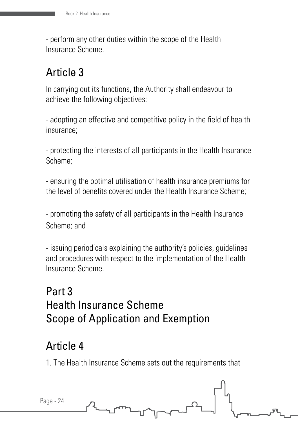- perform any other duties within the scope of the Health Insurance Scheme.

#### Article 3

In carrying out its functions, the Authority shall endeavour to achieve the following objectives:

- adopting an effective and competitive policy in the field of health insurance;

- protecting the interests of all participants in the Health Insurance Scheme;

- ensuring the optimal utilisation of health insurance premiums for the level of benefits covered under the Health Insurance Scheme;

- promoting the safety of all participants in the Health Insurance Scheme; and

- issuing periodicals explaining the authority's policies, guidelines and procedures with respect to the implementation of the Health Insurance Scheme.

## Part 3 Health Insurance Scheme Scope of Application and Exemption

#### Article 4

1. The Health Insurance Scheme sets out the requirements that

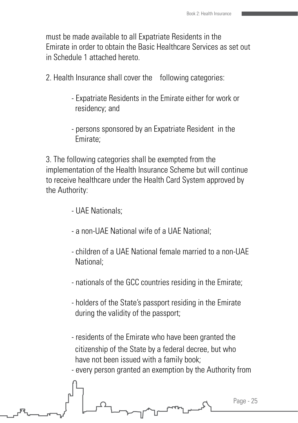must be made available to all Expatriate Residents in the Emirate in order to obtain the Basic Healthcare Services as set out in Schedule 1 attached hereto.

2. Health Insurance shall cover the following categories:

- Expatriate Residents in the Emirate either for work or residency; and
- persons sponsored by an Expatriate Resident in the Emirate;

3. The following categories shall be exempted from the implementation of the Health Insurance Scheme but will continue to receive healthcare under the Health Card System approved by the Authority:

- UAE Nationals;

j

- a non-UAE National wife of a UAE National;
- children of a UAE National female married to a non-UAE National;
- nationals of the GCC countries residing in the Emirate;
- holders of the State's passport residing in the Emirate during the validity of the passport;
- residents of the Emirate who have been granted the citizenship of the State by a federal decree, but who have not been issued with a family book;
- every person granted an exemption by the Authority from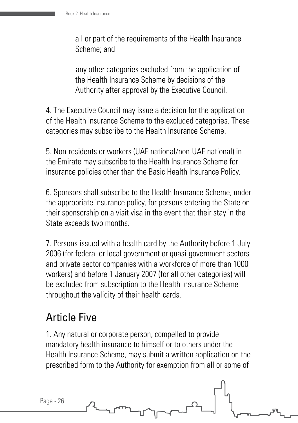all or part of the requirements of the Health Insurance Scheme; and

- any other categories excluded from the application of the Health Insurance Scheme by decisions of the Authority after approval by the Executive Council.

4. The Executive Council may issue a decision for the application of the Health Insurance Scheme to the excluded categories. These categories may subscribe to the Health Insurance Scheme.

5. Non-residents or workers (UAE national/non-UAE national) in the Emirate may subscribe to the Health Insurance Scheme for insurance policies other than the Basic Health Insurance Policy.

6. Sponsors shall subscribe to the Health Insurance Scheme, under the appropriate insurance policy, for persons entering the State on their sponsorship on a visit visa in the event that their stay in the State exceeds two months.

7. Persons issued with a health card by the Authority before 1 July 2006 (for federal or local government or quasi-government sectors and private sector companies with a workforce of more than 1000 workers) and before 1 January 2007 (for all other categories) will be excluded from subscription to the Health Insurance Scheme throughout the validity of their health cards.

#### Article Five

1. Any natural or corporate person, compelled to provide mandatory health insurance to himself or to others under the Health Insurance Scheme, may submit a written application on the prescribed form to the Authority for exemption from all or some of

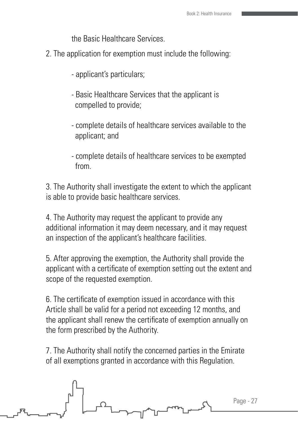the Basic Healthcare Services.

- 2. The application for exemption must include the following:
	- applicant's particulars;
	- Basic Healthcare Services that the applicant is compelled to provide;
	- complete details of healthcare services available to the applicant; and
	- complete details of healthcare services to be exempted from.

3. The Authority shall investigate the extent to which the applicant is able to provide basic healthcare services.

4. The Authority may request the applicant to provide any additional information it may deem necessary, and it may request an inspection of the applicant's healthcare facilities.

5. After approving the exemption, the Authority shall provide the applicant with a certificate of exemption setting out the extent and scope of the requested exemption.

6. The certificate of exemption issued in accordance with this Article shall be valid for a period not exceeding 12 months, and the applicant shall renew the certificate of exemption annually on the form prescribed by the Authority.

7. The Authority shall notify the concerned parties in the Emirate of all exemptions granted in accordance with this Regulation.

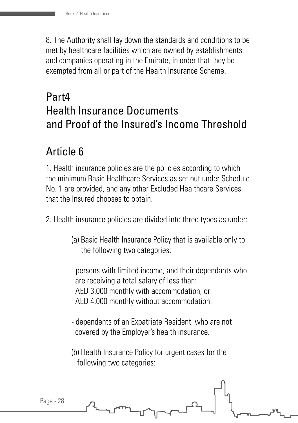8. The Authority shall lay down the standards and conditions to be met by healthcare facilities which are owned by establishments and companies operating in the Emirate, in order that they be exempted from all or part of the Health Insurance Scheme.

## Part4 Health Insurance Documents and Proof of the Insured's Income Threshold

#### Article 6

1. Health insurance policies are the policies according to which the minimum Basic Healthcare Services as set out under Schedule No. 1 are provided, and any other Excluded Healthcare Services that the Insured chooses to obtain.

2. Health insurance policies are divided into three types as under:

- (a) Basic Health Insurance Policy that is available only to the following two categories:
- persons with limited income, and their dependants who are receiving a total salary of less than: AED 3,000 monthly with accommodation; or AED 4,000 monthly without accommodation.
- dependents of an Expatriate Resident who are not covered by the Employer's health insurance.
- (b) Health Insurance Policy for urgent cases for the following two categories:

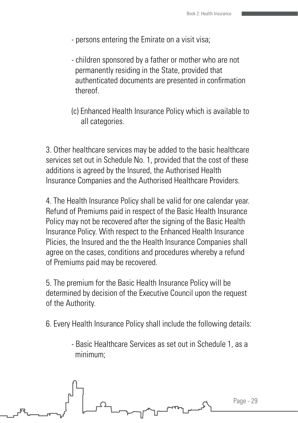- persons entering the Emirate on a visit visa;
- children sponsored by a father or mother who are not permanently residing in the State, provided that authenticated documents are presented in confirmation thereof.
- (c) Enhanced Health Insurance Policy which is available to all categories.

3. Other healthcare services may be added to the basic healthcare services set out in Schedule No. 1, provided that the cost of these additions is agreed by the Insured, the Authorised Health Insurance Companies and the Authorised Healthcare Providers.

4. The Health Insurance Policy shall be valid for one calendar year. Refund of Premiums paid in respect of the Basic Health Insurance Policy may not be recovered after the signing of the Basic Health Insurance Policy. With respect to the Enhanced Health Insurance Plicies, the Insured and the the Health Insurance Companies shall agree on the cases, conditions and procedures whereby a refund of Premiums paid may be recovered.

5. The premium for the Basic Health Insurance Policy will be determined by decision of the Executive Council upon the request of the Authority.

- 6. Every Health Insurance Policy shall include the following details:
	- Basic Healthcare Services as set out in Schedule 1, as a minimum;

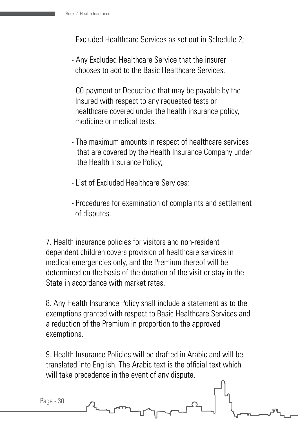- Excluded Healthcare Services as set out in Schedule 2;
- Any Excluded Healthcare Service that the insurer chooses to add to the Basic Healthcare Services;
- C0-payment or Deductible that may be payable by the Insured with respect to any requested tests or healthcare covered under the health insurance policy, medicine or medical tests.
- The maximum amounts in respect of healthcare services that are covered by the Health Insurance Company under the Health Insurance Policy;
- List of Excluded Healthcare Services;
- Procedures for examination of complaints and settlement of disputes.

7. Health insurance policies for visitors and non-resident dependent children covers provision of healthcare services in medical emergencies only, and the Premium thereof will be determined on the basis of the duration of the visit or stay in the State in accordance with market rates.

8. Any Health Insurance Policy shall include a statement as to the exemptions granted with respect to Basic Healthcare Services and a reduction of the Premium in proportion to the approved exemptions.

9. Health Insurance Policies will be drafted in Arabic and will be translated into English. The Arabic text is the official text which will take precedence in the event of any dispute.

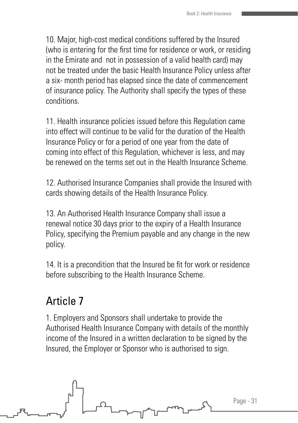10. Major, high-cost medical conditions suffered by the Insured (who is entering for the first time for residence or work, or residing in the Emirate and not in possession of a valid health card) may not be treated under the basic Health Insurance Policy unless after a six- month period has elapsed since the date of commencement of insurance policy. The Authority shall specify the types of these conditions.

11. Health insurance policies issued before this Regulation came into effect will continue to be valid for the duration of the Health Insurance Policy or for a period of one year from the date of coming into effect of this Regulation, whichever is less, and may be renewed on the terms set out in the Health Insurance Scheme.

12. Authorised Insurance Companies shall provide the Insured with cards showing details of the Health Insurance Policy.

13. An Authorised Health Insurance Company shall issue a renewal notice 30 days prior to the expiry of a Health Insurance Policy, specifying the Premium payable and any change in the new policy.

14. It is a precondition that the Insured be fit for work or residence before subscribing to the Health Insurance Scheme.

#### Article 7

1. Employers and Sponsors shall undertake to provide the Authorised Health Insurance Company with details of the monthly income of the Insured in a written declaration to be signed by the Insured, the Employer or Sponsor who is authorised to sign.

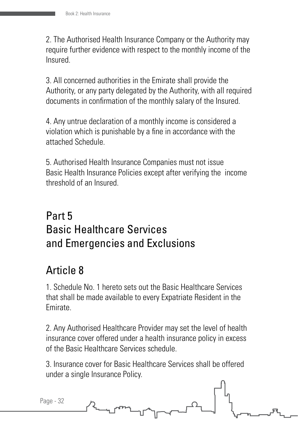2. The Authorised Health Insurance Company or the Authority may require further evidence with respect to the monthly income of the Insured.

3. All concerned authorities in the Emirate shall provide the Authority, or any party delegated by the Authority, with all required documents in confirmation of the monthly salary of the Insured.

4. Any untrue declaration of a monthly income is considered a violation which is punishable by a fine in accordance with the attached Schedule.

5. Authorised Health Insurance Companies must not issue Basic Health Insurance Policies except after verifying the income threshold of an Insured.

#### Part 5 Basic Healthcare Services and Emergencies and Exclusions

#### Article 8

1. Schedule No. 1 hereto sets out the Basic Healthcare Services that shall be made available to every Expatriate Resident in the Emirate.

2. Any Authorised Healthcare Provider may set the level of health insurance cover offered under a health insurance policy in excess of the Basic Healthcare Services schedule.

3. Insurance cover for Basic Healthcare Services shall be offered under a single Insurance Policy.

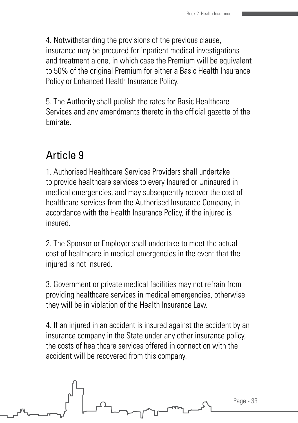4. Notwithstanding the provisions of the previous clause, insurance may be procured for inpatient medical investigations and treatment alone, in which case the Premium will be equivalent to 50% of the original Premium for either a Basic Health Insurance Policy or Enhanced Health Insurance Policy.

5. The Authority shall publish the rates for Basic Healthcare Services and any amendments thereto in the official gazette of the Emirate.

#### Article 9

1. Authorised Healthcare Services Providers shall undertake to provide healthcare services to every Insured or Uninsured in medical emergencies, and may subsequently recover the cost of healthcare services from the Authorised Insurance Company, in accordance with the Health Insurance Policy, if the injured is insured.

2. The Sponsor or Employer shall undertake to meet the actual cost of healthcare in medical emergencies in the event that the injured is not insured.

3. Government or private medical facilities may not refrain from providing healthcare services in medical emergencies, otherwise they will be in violation of the Health Insurance Law.

4. If an injured in an accident is insured against the accident by an insurance company in the State under any other insurance policy, the costs of healthcare services offered in connection with the accident will be recovered from this company.

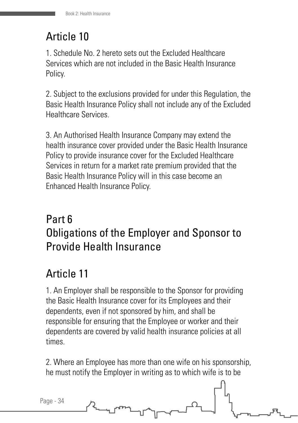# Article 10

1. Schedule No. 2 hereto sets out the Excluded Healthcare Services which are not included in the Basic Health Insurance Policy.

2. Subject to the exclusions provided for under this Regulation, the Basic Health Insurance Policy shall not include any of the Excluded Healthcare Services.

3. An Authorised Health Insurance Company may extend the health insurance cover provided under the Basic Health Insurance Policy to provide insurance cover for the Excluded Healthcare Services in return for a market rate premium provided that the Basic Health Insurance Policy will in this case become an Enhanced Health Insurance Policy.

## Part 6 Obligations of the Employer and Sponsor to Provide Health Insurance

# Article 11

1. An Employer shall be responsible to the Sponsor for providing the Basic Health Insurance cover for its Employees and their dependents, even if not sponsored by him, and shall be responsible for ensuring that the Employee or worker and their dependents are covered by valid health insurance policies at all times.

2. Where an Employee has more than one wife on his sponsorship, he must notify the Employer in writing as to which wife is to be



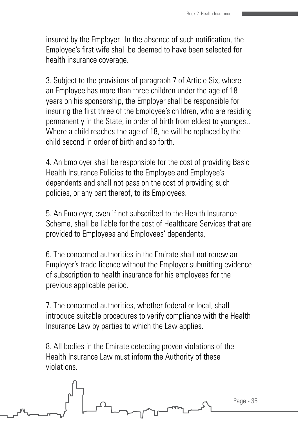insured by the Employer. In the absence of such notification, the Employee's first wife shall be deemed to have been selected for health insurance coverage.

3. Subject to the provisions of paragraph 7 of Article Six, where an Employee has more than three children under the age of 18 years on his sponsorship, the Employer shall be responsible for insuring the first three of the Employee's children, who are residing permanently in the State, in order of birth from eldest to youngest. Where a child reaches the age of 18, he will be replaced by the child second in order of birth and so forth.

4. An Employer shall be responsible for the cost of providing Basic Health Insurance Policies to the Employee and Employee's dependents and shall not pass on the cost of providing such policies, or any part thereof, to its Employees.

5. An Employer, even if not subscribed to the Health Insurance Scheme, shall be liable for the cost of Healthcare Services that are provided to Employees and Employees' dependents,

6. The concerned authorities in the Emirate shall not renew an Employer's trade licence without the Employer submitting evidence of subscription to health insurance for his employees for the previous applicable period.

7. The concerned authorities, whether federal or local, shall introduce suitable procedures to verify compliance with the Health Insurance Law by parties to which the Law applies.

8. All bodies in the Emirate detecting proven violations of the Health Insurance Law must inform the Authority of these violations.

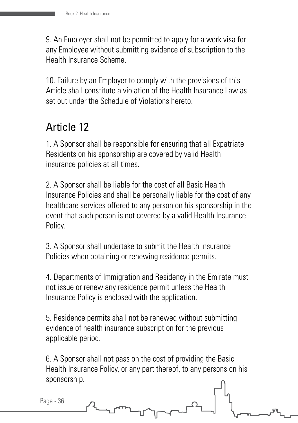9. An Employer shall not be permitted to apply for a work visa for any Employee without submitting evidence of subscription to the Health Insurance Scheme.

10. Failure by an Employer to comply with the provisions of this Article shall constitute a violation of the Health Insurance Law as set out under the Schedule of Violations hereto.

### Article 12

1. A Sponsor shall be responsible for ensuring that all Expatriate Residents on his sponsorship are covered by valid Health insurance policies at all times.

2. A Sponsor shall be liable for the cost of all Basic Health Insurance Policies and shall be personally liable for the cost of any healthcare services offered to any person on his sponsorship in the event that such person is not covered by a valid Health Insurance Policy.

3. A Sponsor shall undertake to submit the Health Insurance Policies when obtaining or renewing residence permits.

4. Departments of Immigration and Residency in the Emirate must not issue or renew any residence permit unless the Health Insurance Policy is enclosed with the application.

5. Residence permits shall not be renewed without submitting evidence of health insurance subscription for the previous applicable period.

6. A Sponsor shall not pass on the cost of providing the Basic Health Insurance Policy, or any part thereof, to any persons on his sponsorship.



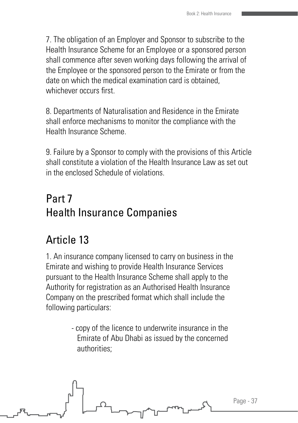7. The obligation of an Employer and Sponsor to subscribe to the Health Insurance Scheme for an Employee or a sponsored person shall commence after seven working days following the arrival of the Employee or the sponsored person to the Emirate or from the date on which the medical examination card is obtained, whichever occurs first.

8. Departments of Naturalisation and Residence in the Emirate shall enforce mechanisms to monitor the compliance with the Health Insurance Scheme.

9. Failure by a Sponsor to comply with the provisions of this Article shall constitute a violation of the Health Insurance Law as set out in the enclosed Schedule of violations.

### Part 7 Health Insurance Companies

### Article 13

1. An insurance company licensed to carry on business in the Emirate and wishing to provide Health Insurance Services pursuant to the Health Insurance Scheme shall apply to the Authority for registration as an Authorised Health Insurance Company on the prescribed format which shall include the following particulars:

> - copy of the licence to underwrite insurance in the Emirate of Abu Dhabi as issued by the concerned authorities;

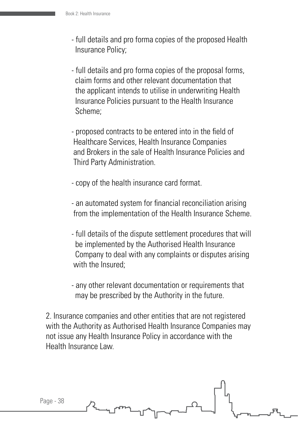- full details and pro forma copies of the proposed Health Insurance Policy;
- full details and pro forma copies of the proposal forms, claim forms and other relevant documentation that the applicant intends to utilise in underwriting Health Insurance Policies pursuant to the Health Insurance Scheme;
- proposed contracts to be entered into in the field of Healthcare Services, Health Insurance Companies and Brokers in the sale of Health Insurance Policies and Third Party Administration.
- copy of the health insurance card format.
- an automated system for financial reconciliation arising from the implementation of the Health Insurance Scheme.
- full details of the dispute settlement procedures that will be implemented by the Authorised Health Insurance Company to deal with any complaints or disputes arising with the Insured:
- any other relevant documentation or requirements that may be prescribed by the Authority in the future.

2. Insurance companies and other entities that are not registered with the Authority as Authorised Health Insurance Companies may not issue any Health Insurance Policy in accordance with the Health Insurance Law.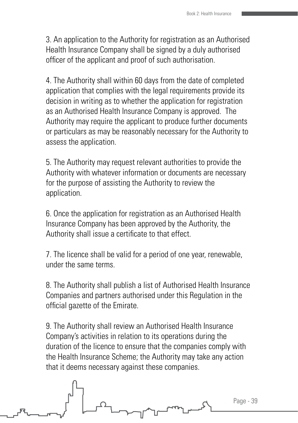3. An application to the Authority for registration as an Authorised Health Insurance Company shall be signed by a duly authorised officer of the applicant and proof of such authorisation.

4. The Authority shall within 60 days from the date of completed application that complies with the legal requirements provide its decision in writing as to whether the application for registration as an Authorised Health Insurance Company is approved. The Authority may require the applicant to produce further documents or particulars as may be reasonably necessary for the Authority to assess the application.

5. The Authority may request relevant authorities to provide the Authority with whatever information or documents are necessary for the purpose of assisting the Authority to review the application.

6. Once the application for registration as an Authorised Health Insurance Company has been approved by the Authority, the Authority shall issue a certificate to that effect.

7. The licence shall be valid for a period of one year, renewable, under the same terms.

8. The Authority shall publish a list of Authorised Health Insurance Companies and partners authorised under this Regulation in the official gazette of the Emirate.

9. The Authority shall review an Authorised Health Insurance Company's activities in relation to its operations during the duration of the licence to ensure that the companies comply with the Health Insurance Scheme; the Authority may take any action that it deems necessary against these companies.

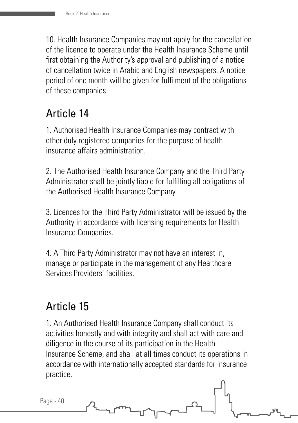10. Health Insurance Companies may not apply for the cancellation of the licence to operate under the Health Insurance Scheme until first obtaining the Authority's approval and publishing of a notice of cancellation twice in Arabic and English newspapers. A notice period of one month will be given for fulfilment of the obligations of these companies.

# Article 14

1. Authorised Health Insurance Companies may contract with other duly registered companies for the purpose of health insurance affairs administration.

2. The Authorised Health Insurance Company and the Third Party Administrator shall be jointly liable for fulfilling all obligations of the Authorised Health Insurance Company.

3. Licences for the Third Party Administrator will be issued by the Authority in accordance with licensing requirements for Health Insurance Companies.

4. A Third Party Administrator may not have an interest in, manage or participate in the management of any Healthcare Services Providers' facilities.

# Article 15

1. An Authorised Health Insurance Company shall conduct its activities honestly and with integrity and shall act with care and diligence in the course of its participation in the Health Insurance Scheme, and shall at all times conduct its operations in accordance with internationally accepted standards for insurance practice.

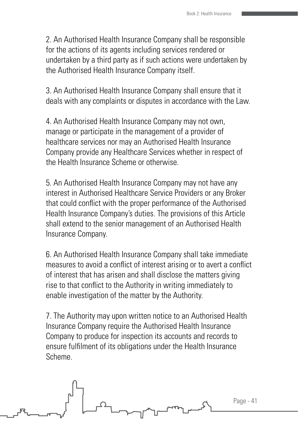2. An Authorised Health Insurance Company shall be responsible for the actions of its agents including services rendered or undertaken by a third party as if such actions were undertaken by the Authorised Health Insurance Company itself.

3. An Authorised Health Insurance Company shall ensure that it deals with any complaints or disputes in accordance with the Law.

4. An Authorised Health Insurance Company may not own, manage or participate in the management of a provider of healthcare services nor may an Authorised Health Insurance Company provide any Healthcare Services whether in respect of the Health Insurance Scheme or otherwise.

5. An Authorised Health Insurance Company may not have any interest in Authorised Healthcare Service Providers or any Broker that could conflict with the proper performance of the Authorised Health Insurance Company's duties. The provisions of this Article shall extend to the senior management of an Authorised Health Insurance Company.

6. An Authorised Health Insurance Company shall take immediate measures to avoid a conflict of interest arising or to avert a conflict of interest that has arisen and shall disclose the matters giving rise to that conflict to the Authority in writing immediately to enable investigation of the matter by the Authority.

7. The Authority may upon written notice to an Authorised Health Insurance Company require the Authorised Health Insurance Company to produce for inspection its accounts and records to ensure fulfilment of its obligations under the Health Insurance Scheme.

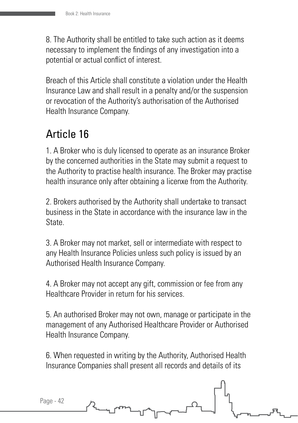8. The Authority shall be entitled to take such action as it deems necessary to implement the findings of any investigation into a potential or actual conflict of interest.

Breach of this Article shall constitute a violation under the Health Insurance Law and shall result in a penalty and/or the suspension or revocation of the Authority's authorisation of the Authorised Health Insurance Company.

### Article 16

1. A Broker who is duly licensed to operate as an insurance Broker by the concerned authorities in the State may submit a request to the Authority to practise health insurance. The Broker may practise health insurance only after obtaining a licenxe from the Authority.

2. Brokers authorised by the Authority shall undertake to transact business in the State in accordance with the insurance law in the State.

3. A Broker may not market, sell or intermediate with respect to any Health Insurance Policies unless such policy is issued by an Authorised Health Insurance Company.

4. A Broker may not accept any gift, commission or fee from any Healthcare Provider in return for his services.

5. An authorised Broker may not own, manage or participate in the management of any Authorised Healthcare Provider or Authorised Health Insurance Company.

6. When requested in writing by the Authority, Authorised Health Insurance Companies shall present all records and details of its

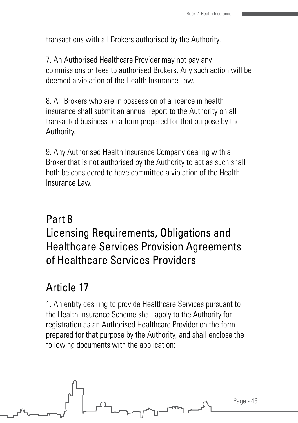transactions with all Brokers authorised by the Authority.

7. An Authorised Healthcare Provider may not pay any commissions or fees to authorised Brokers. Any such action will be deemed a violation of the Health Insurance Law.

8. All Brokers who are in possession of a licence in health insurance shall submit an annual report to the Authority on all transacted business on a form prepared for that purpose by the Authority.

9. Any Authorised Health Insurance Company dealing with a Broker that is not authorised by the Authority to act as such shall both be considered to have committed a violation of the Health Insurance Law.

### Part 8

### Licensing Requirements, Obligations and Healthcare Services Provision Agreements of Healthcare Services Providers

### Article 17

1. An entity desiring to provide Healthcare Services pursuant to the Health Insurance Scheme shall apply to the Authority for registration as an Authorised Healthcare Provider on the form prepared for that purpose by the Authority, and shall enclose the following documents with the application:

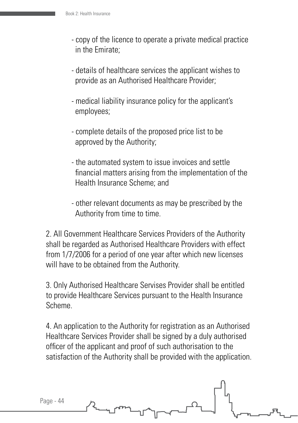- copy of the licence to operate a private medical practice in the Emirate;
- details of healthcare services the applicant wishes to provide as an Authorised Healthcare Provider;
- medical liability insurance policy for the applicant's employees;
- complete details of the proposed price list to be approved by the Authority;
- the automated system to issue invoices and settle financial matters arising from the implementation of the Health Insurance Scheme; and
- other relevant documents as may be prescribed by the Authority from time to time.

2. All Government Healthcare Services Providers of the Authority shall be regarded as Authorised Healthcare Providers with effect from 1/7/2006 for a period of one year after which new licenses will have to be obtained from the Authority.

3. Only Authorised Healthcare Servises Provider shall be entitled to provide Healthcare Services pursuant to the Health Insurance Scheme.

4. An application to the Authority for registration as an Authorised Healthcare Services Provider shall be signed by a duly authorised officer of the applicant and proof of such authorisation to the satisfaction of the Authority shall be provided with the application.

Page - 44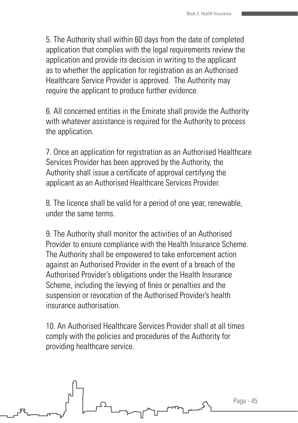5. The Authority shall within 60 days from the date of completed application that complies with the legal requirements review the application and provide its decision in writing to the applicant as to whether the application for registration as an Authorised Healthcare Service Provider is approved. The Authority may require the applicant to produce further evidence.

6. All concerned entities in the Emirate shall provide the Authority with whatever assistance is required for the Authority to process the application.

7. Once an application for registration as an Authorised Healthcare Services Provider has been approved by the Authority, the Authority shall issue a certificate of approval certifying the applicant as an Authorised Healthcare Services Provider.

8. The licence shall be valid for a period of one year, renewable, under the same terms.

9. The Authority shall monitor the activities of an Authorised Provider to ensure compliance with the Health Insurance Scheme. The Authority shall be empowered to take enforcement action against an Authorised Provider in the event of a breach of the Authorised Provider's obligations under the Health Insurance Scheme, including the levying of fines or penalties and the suspension or revocation of the Authorised Provider's health insurance authorisation.

10. An Authorised Healthcare Services Provider shall at all times comply with the policies and procedures of the Authority for providing healthcare service.

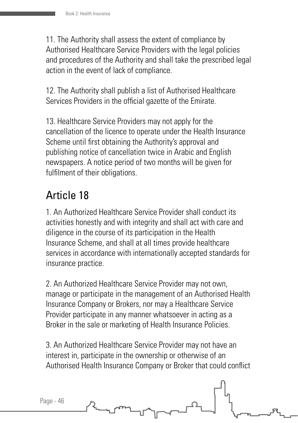11. The Authority shall assess the extent of compliance by Authorised Healthcare Service Providers with the legal policies and procedures of the Authority and shall take the prescribed legal action in the event of lack of compliance.

12. The Authority shall publish a list of Authorised Healthcare Services Providers in the official gazette of the Emirate.

13. Healthcare Service Providers may not apply for the cancellation of the licence to operate under the Health Insurance Scheme until first obtaining the Authority's approval and publishing notice of cancellation twice in Arabic and English newspapers. A notice period of two months will be given for fulfilment of their obligations.

### Article 18

1. An Authorized Healthcare Service Provider shall conduct its activities honestly and with integrity and shall act with care and diligence in the course of its participation in the Health Insurance Scheme, and shall at all times provide healthcare services in accordance with internationally accepted standards for insurance practice.

2. An Authorized Healthcare Service Provider may not own, manage or participate in the management of an Authorised Health Insurance Company or Brokers, nor may a Healthcare Service Provider participate in any manner whatsoever in acting as a Broker in the sale or marketing of Health Insurance Policies.

3. An Authorized Healthcare Service Provider may not have an interest in, participate in the ownership or otherwise of an Authorised Health Insurance Company or Broker that could conflict

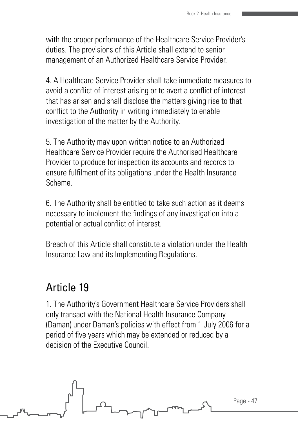with the proper performance of the Healthcare Service Provider's duties. The provisions of this Article shall extend to senior management of an Authorized Healthcare Service Provider.

4. A Healthcare Service Provider shall take immediate measures to avoid a conflict of interest arising or to avert a conflict of interest that has arisen and shall disclose the matters giving rise to that conflict to the Authority in writing immediately to enable investigation of the matter by the Authority.

5. The Authority may upon written notice to an Authorized Healthcare Service Provider require the Authorised Healthcare Provider to produce for inspection its accounts and records to ensure fulfilment of its obligations under the Health Insurance Scheme.

6. The Authority shall be entitled to take such action as it deems necessary to implement the findings of any investigation into a potential or actual conflict of interest.

Breach of this Article shall constitute a violation under the Health Insurance Law and its Implementing Regulations.

### Article 19

1. The Authority's Government Healthcare Service Providers shall only transact with the National Health Insurance Company (Daman) under Daman's policies with effect from 1 July 2006 for a period of five years which may be extended or reduced by a decision of the Executive Council.

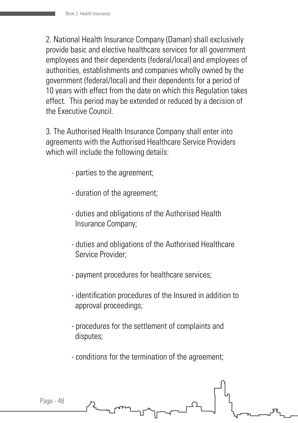2. National Health Insurance Company (Daman) shall exclusively provide basic and elective healthcare services for all government employees and their dependents (federal/local) and employees of authorities, establishments and companies wholly owned by the government (federal/local) and their dependents for a period of 10 years with effect from the date on which this Regulation takes effect. This period may be extended or reduced by a decision of the Executive Council.

3. The Authorised Health Insurance Company shall enter into agreements with the Authorised Healthcare Service Providers which will include the following details:

- parties to the agreement;
- duration of the agreement;
- duties and obligations of the Authorised Health Insurance Company;
- duties and obligations of the Authorised Healthcare Service Provider;
- payment procedures for healthcare services;
- identification procedures of the Insured in addition to approval proceedings;
- procedures for the settlement of complaints and disputes;
- conditions for the termination of the agreement;

| $\begin{picture}(180,10) \put(0,0){\vector(1,0){100}} \put(10,0){\vector(1,0){100}} \put(10,0){\vector(1,0){100}} \put(10,0){\vector(1,0){100}} \put(10,0){\vector(1,0){100}} \put(10,0){\vector(1,0){100}} \put(10,0){\vector(1,0){100}} \put(10,0){\vector(1,0){100}} \put(10,0){\vector(1,0){100}} \put(10,0){\vector(1,0){100}} \put(10,0){\vector(1,0){100}}$ |  |
|--------------------------------------------------------------------------------------------------------------------------------------------------------------------------------------------------------------------------------------------------------------------------------------------------------------------------------------------------------------------|--|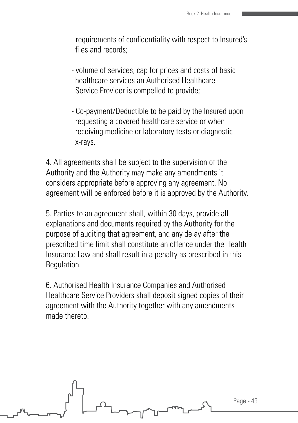- requirements of confidentiality with respect to Insured's files and records;
- volume of services, cap for prices and costs of basic healthcare services an Authorised Healthcare Service Provider is compelled to provide;
- Co-payment/Deductible to be paid by the Insured upon requesting a covered healthcare service or when receiving medicine or laboratory tests or diagnostic x-rays.

4. All agreements shall be subject to the supervision of the Authority and the Authority may make any amendments it considers appropriate before approving any agreement. No agreement will be enforced before it is approved by the Authority.

5. Parties to an agreement shall, within 30 days, provide all explanations and documents required by the Authority for the purpose of auditing that agreement, and any delay after the prescribed time limit shall constitute an offence under the Health Insurance Law and shall result in a penalty as prescribed in this Regulation.

6. Authorised Health Insurance Companies and Authorised Healthcare Service Providers shall deposit signed copies of their agreement with the Authority together with any amendments made thereto.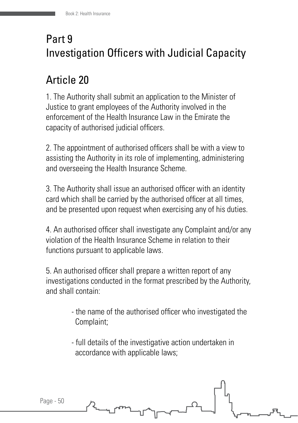## Part 9 Investigation Officers with Judicial Capacity

# Article 20

1. The Authority shall submit an application to the Minister of Justice to grant employees of the Authority involved in the enforcement of the Health Insurance Law in the Emirate the capacity of authorised judicial officers.

2. The appointment of authorised officers shall be with a view to assisting the Authority in its role of implementing, administering and overseeing the Health Insurance Scheme.

3. The Authority shall issue an authorised officer with an identity card which shall be carried by the authorised officer at all times, and be presented upon request when exercising any of his duties.

4. An authorised officer shall investigate any Complaint and/or any violation of the Health Insurance Scheme in relation to their functions pursuant to applicable laws.

5. An authorised officer shall prepare a written report of any investigations conducted in the format prescribed by the Authority, and shall contain:

- the name of the authorised officer who investigated the Complaint;
- full details of the investigative action undertaken in accordance with applicable laws;

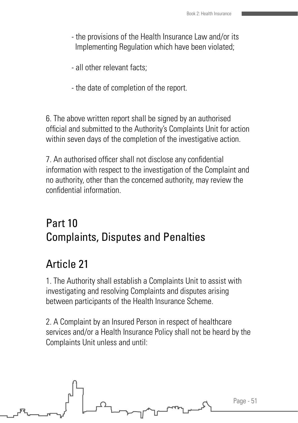- the provisions of the Health Insurance Law and/or its Implementing Regulation which have been violated;
- all other relevant facts;
- the date of completion of the report.

6. The above written report shall be signed by an authorised official and submitted to the Authority's Complaints Unit for action within seven days of the completion of the investigative action.

7. An authorised officer shall not disclose any confidential information with respect to the investigation of the Complaint and no authority, other than the concerned authority, may review the confidential information.

### Part 10 Complaints, Disputes and Penalties

### Article 21

1. The Authority shall establish a Complaints Unit to assist with investigating and resolving Complaints and disputes arising between participants of the Health Insurance Scheme.

2. A Complaint by an Insured Person in respect of healthcare services and/or a Health Insurance Policy shall not be heard by the Complaints Unit unless and until:

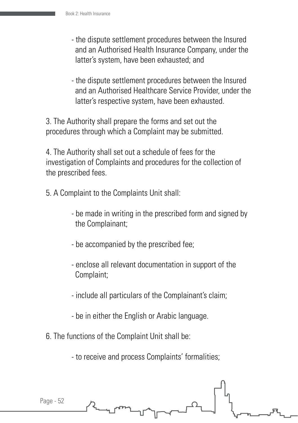- the dispute settlement procedures between the Insured and an Authorised Health Insurance Company, under the latter's system, have been exhausted; and
- the dispute settlement procedures between the Insured and an Authorised Healthcare Service Provider, under the latter's respective system, have been exhausted.

3. The Authority shall prepare the forms and set out the procedures through which a Complaint may be submitted.

4. The Authority shall set out a schedule of fees for the investigation of Complaints and procedures for the collection of the prescribed fees.

- 5. A Complaint to the Complaints Unit shall:
	- be made in writing in the prescribed form and signed by the Complainant;
	- be accompanied by the prescribed fee;
	- enclose all relevant documentation in support of the Complaint;
	- include all particulars of the Complainant's claim;
	- be in either the English or Arabic language.
- 6. The functions of the Complaint Unit shall be:
	- to receive and process Complaints' formalities;

| $\begin{picture}(120,10) \put(0,0){\line(1,0){100}} \put(15,0){\line(1,0){100}} \put(15,0){\line(1,0){100}} \put(15,0){\line(1,0){100}} \put(15,0){\line(1,0){100}} \put(15,0){\line(1,0){100}} \put(15,0){\line(1,0){100}} \put(15,0){\line(1,0){100}} \put(15,0){\line(1,0){100}} \put(15,0){\line(1,0){100}} \put(15,0){\line(1,0){100}}$ |  |
|----------------------------------------------------------------------------------------------------------------------------------------------------------------------------------------------------------------------------------------------------------------------------------------------------------------------------------------------|--|
|                                                                                                                                                                                                                                                                                                                                              |  |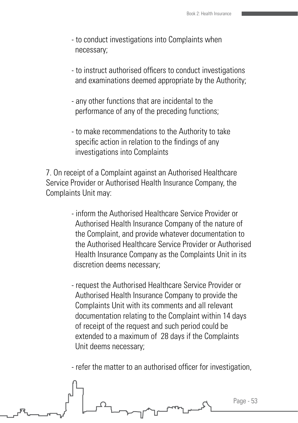- to conduct investigations into Complaints when necessary;
- to instruct authorised officers to conduct investigations and examinations deemed appropriate by the Authority;
- any other functions that are incidental to the performance of any of the preceding functions;
- to make recommendations to the Authority to take specific action in relation to the findings of any investigations into Complaints

7. On receipt of a Complaint against an Authorised Healthcare Service Provider or Authorised Health Insurance Company, the Complaints Unit may:

- inform the Authorised Healthcare Service Provider or Authorised Health Insurance Company of the nature of the Complaint, and provide whatever documentation to the Authorised Healthcare Service Provider or Authorised Health Insurance Company as the Complaints Unit in its discretion deems necessary;
- request the Authorised Healthcare Service Provider or Authorised Health Insurance Company to provide the Complaints Unit with its comments and all relevant documentation relating to the Complaint within 14 days of receipt of the request and such period could be extended to a maximum of 28 days if the Complaints Unit deems necessary;

- refer the matter to an authorised officer for investigation,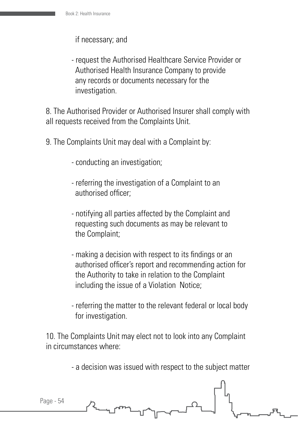#### if necessary; and

- request the Authorised Healthcare Service Provider or Authorised Health Insurance Company to provide any records or documents necessary for the investigation.

8. The Authorised Provider or Authorised Insurer shall comply with all requests received from the Complaints Unit.

9. The Complaints Unit may deal with a Complaint by:

- conducting an investigation;
- referring the investigation of a Complaint to an authorised officer;
- notifying all parties affected by the Complaint and requesting such documents as may be relevant to the Complaint;
- making a decision with respect to its findings or an authorised officer's report and recommending action for the Authority to take in relation to the Complaint including the issue of a Violation Notice;
- referring the matter to the relevant federal or local body for investigation.

10. The Complaints Unit may elect not to look into any Complaint in circumstances where:

- a decision was issued with respect to the subject matter

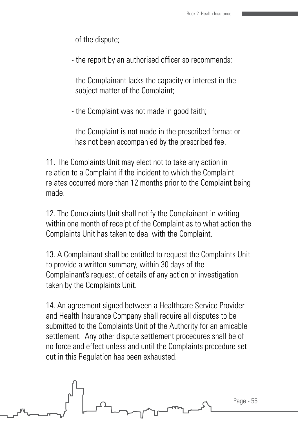of the dispute;

- the report by an authorised officer so recommends;
- the Complainant lacks the capacity or interest in the subject matter of the Complaint;
- the Complaint was not made in good faith;
- the Complaint is not made in the prescribed format or has not been accompanied by the prescribed fee.

11. The Complaints Unit may elect not to take any action in relation to a Complaint if the incident to which the Complaint relates occurred more than 12 months prior to the Complaint being made.

12. The Complaints Unit shall notify the Complainant in writing within one month of receipt of the Complaint as to what action the Complaints Unit has taken to deal with the Complaint.

13. A Complainant shall be entitled to request the Complaints Unit to provide a written summary, within 30 days of the Complainant's request, of details of any action or investigation taken by the Complaints Unit.

14. An agreement signed between a Healthcare Service Provider and Health Insurance Company shall require all disputes to be submitted to the Complaints Unit of the Authority for an amicable settlement. Any other dispute settlement procedures shall be of no force and effect unless and until the Complaints procedure set out in this Regulation has been exhausted.

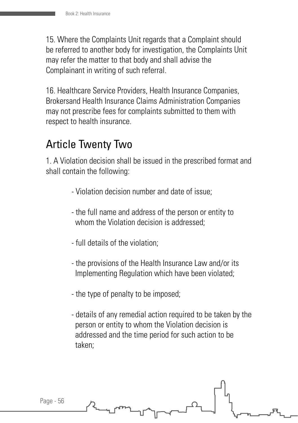15. Where the Complaints Unit regards that a Complaint should be referred to another body for investigation, the Complaints Unit may refer the matter to that body and shall advise the Complainant in writing of such referral.

16. Healthcare Service Providers, Health Insurance Companies, Brokersand Health Insurance Claims Administration Companies may not prescribe fees for complaints submitted to them with respect to health insurance.

### Article Twenty Two

1. A Violation decision shall be issued in the prescribed format and shall contain the following:

- Violation decision number and date of issue;
- the full name and address of the person or entity to whom the Violation decision is addressed:
- full details of the violation;
- the provisions of the Health Insurance Law and/or its Implementing Regulation which have been violated;
- the type of penalty to be imposed;
- details of any remedial action required to be taken by the person or entity to whom the Violation decision is addressed and the time period for such action to be taken;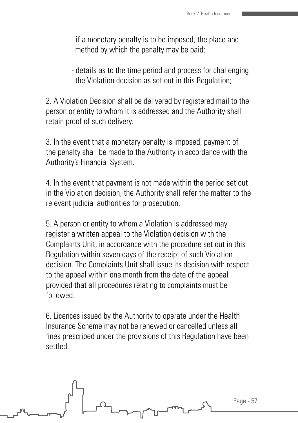- if a monetary penalty is to be imposed, the place and method by which the penalty may be paid;

- details as to the time period and process for challenging the Violation decision as set out in this Regulation;

2. A Violation Decision shall be delivered by registered mail to the person or entity to whom it is addressed and the Authority shall retain proof of such delivery.

3. In the event that a monetary penalty is imposed, payment of the penalty shall be made to the Authority in accordance with the Authority's Financial System.

4. In the event that payment is not made within the period set out in the Violation decision, the Authority shall refer the matter to the relevant judicial authorities for prosecution.

5. A person or entity to whom a Violation is addressed may register a written appeal to the Violation decision with the Complaints Unit, in accordance with the procedure set out in this Regulation within seven days of the receipt of such Violation decision. The Complaints Unit shall issue its decision with respect to the appeal within one month from the date of the appeal provided that all procedures relating to complaints must be followed.

6. Licences issued by the Authority to operate under the Health Insurance Scheme may not be renewed or cancelled unless all fines prescribed under the provisions of this Regulation have been settled.

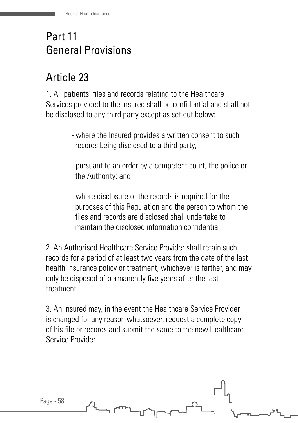### Part 11 General Provisions

## Article 23

1. All patients' files and records relating to the Healthcare Services provided to the Insured shall be confidential and shall not be disclosed to any third party except as set out below:

- where the Insured provides a written consent to such records being disclosed to a third party;
- pursuant to an order by a competent court, the police or the Authority; and
- where disclosure of the records is required for the purposes of this Regulation and the person to whom the files and records are disclosed shall undertake to maintain the disclosed information confidential.

2. An Authorised Healthcare Service Provider shall retain such records for a period of at least two years from the date of the last health insurance policy or treatment, whichever is farther, and may only be disposed of permanently five years after the last treatment.

3. An Insured may, in the event the Healthcare Service Provider is changed for any reason whatsoever, request a complete copy of his file or records and submit the same to the new Healthcare Service Provider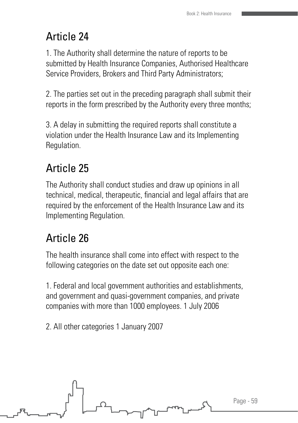## Article 24

1. The Authority shall determine the nature of reports to be submitted by Health Insurance Companies, Authorised Healthcare Service Providers, Brokers and Third Party Administrators;

2. The parties set out in the preceding paragraph shall submit their reports in the form prescribed by the Authority every three months;

3. A delay in submitting the required reports shall constitute a violation under the Health Insurance Law and its Implementing Regulation.

# Article 25

The Authority shall conduct studies and draw up opinions in all technical, medical, therapeutic, financial and legal affairs that are required by the enforcement of the Health Insurance Law and its Implementing Regulation.

# Article 26

The health insurance shall come into effect with respect to the following categories on the date set out opposite each one:

1. Federal and local government authorities and establishments, and government and quasi-government companies, and private companies with more than 1000 employees. 1 July 2006

2. All other categories 1 January 2007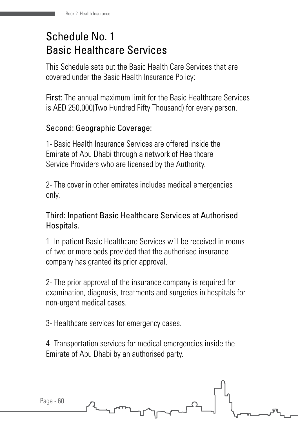### Schedule No. 1 Basic Healthcare Services

This Schedule sets out the Basic Health Care Services that are covered under the Basic Health Insurance Policy:

First: The annual maximum limit for the Basic Healthcare Services is AED 250,000(Two Hundred Fifty Thousand) for every person.

### Second: Geographic Coverage:

1- Basic Health Insurance Services are offered inside the Emirate of Abu Dhabi through a network of Healthcare Service Providers who are licensed by the Authority.

2- The cover in other emirates includes medical emergencies only.

### Third: Inpatient Basic Healthcare Services at Authorised Hospitals.

1- In-patient Basic Healthcare Services will be received in rooms of two or more beds provided that the authorised insurance company has granted its prior approval.

2- The prior approval of the insurance company is required for examination, diagnosis, treatments and surgeries in hospitals for non-urgent medical cases.

3- Healthcare services for emergency cases.

4- Transportation services for medical emergencies inside the Emirate of Abu Dhabi by an authorised party.

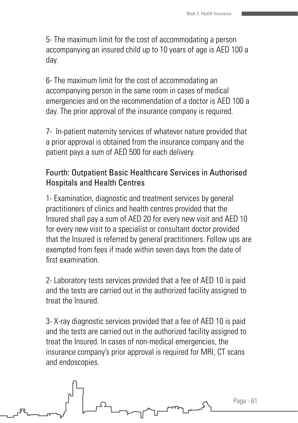5- The maximum limit for the cost of accommodating a person accompanying an insured child up to 10 years of age is AED 100 a day.

6- The maximum limit for the cost of accommodating an accompanying person in the same room in cases of medical emergencies and on the recommendation of a doctor is AED 100 a day. The prior approval of the insurance company is required.

7- In-patient maternity services of whatever nature provided that a prior approval is obtained from the insurance company and the patient pays a sum of AED 500 for each delivery.

### Fourth: Outpatient Basic Healthcare Services in Authorised Hospitals and Health Centres

1- Examination, diagnostic and treatment services by general practitioners of clinics and health centres provided that the Insured shall pay a sum of AED 20 for every new visit and AED 10 for every new visit to a specialist or consultant doctor provided that the Insured is referred by general practitioners. Follow ups are exempted from fees if made within seven days from the date of first examination.

2- Laboratory tests services provided that a fee of AED 10 is paid and the tests are carried out in the authorized facility assigned to treat the Insured.

3- X-ray diagnostic services provided that a fee of AED 10 is paid and the tests are carried out in the authorized facility assigned to treat the Insured. In cases of non-medical emergencies, the insurance company's prior approval is required for MRI, CT scans and endoscopies.

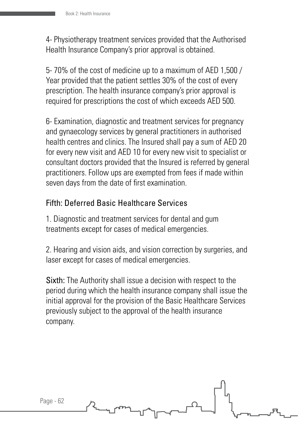4- Physiotherapy treatment services provided that the Authorised Health Insurance Company's prior approval is obtained.

5- 70% of the cost of medicine up to a maximum of AED 1,500 / Year provided that the patient settles 30% of the cost of every prescription. The health insurance company's prior approval is required for prescriptions the cost of which exceeds AED 500.

6- Examination, diagnostic and treatment services for pregnancy and gynaecology services by general practitioners in authorised health centres and clinics. The Insured shall pay a sum of AED 20 for every new visit and AED 10 for every new visit to specialist or consultant doctors provided that the Insured is referred by general practitioners. Follow ups are exempted from fees if made within seven days from the date of first examination.

### Fifth: Deferred Basic Healthcare Services

1. Diagnostic and treatment services for dental and gum treatments except for cases of medical emergencies.

2. Hearing and vision aids, and vision correction by surgeries, and laser except for cases of medical emergencies.

Sixth: The Authority shall issue a decision with respect to the period during which the health insurance company shall issue the initial approval for the provision of the Basic Healthcare Services previously subject to the approval of the health insurance company.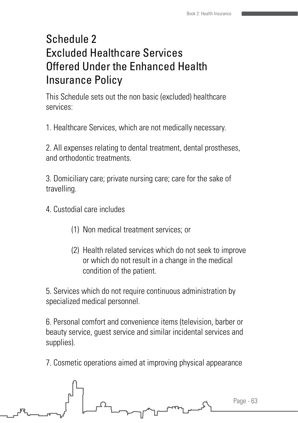### Schedule 2 Excluded Healthcare Services Offered Under the Enhanced Health Insurance Policy

This Schedule sets out the non basic (excluded) healthcare services:

1. Healthcare Services, which are not medically necessary.

2. All expenses relating to dental treatment, dental prostheses, and orthodontic treatments.

3. Domiciliary care; private nursing care; care for the sake of travelling.

4. Custodial care includes

- (1) Non medical treatment services; or
- (2) Health related services which do not seek to improve or which do not result in a change in the medical condition of the patient.

5. Services which do not require continuous administration by specialized medical personnel.

6. Personal comfort and convenience items (television, barber or beauty service, guest service and similar incidental services and supplies).

7. Cosmetic operations aimed at improving physical appearance

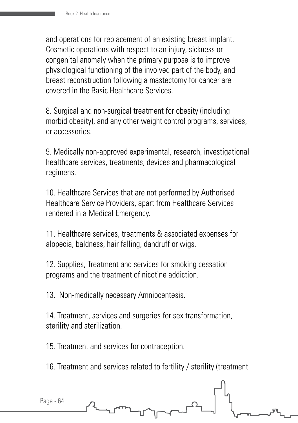and operations for replacement of an existing breast implant. Cosmetic operations with respect to an injury, sickness or congenital anomaly when the primary purpose is to improve physiological functioning of the involved part of the body, and breast reconstruction following a mastectomy for cancer are covered in the Basic Healthcare Services.

8. Surgical and non-surgical treatment for obesity (including morbid obesity), and any other weight control programs, services, or accessories.

9. Medically non-approved experimental, research, investigational healthcare services, treatments, devices and pharmacological regimens.

10. Healthcare Services that are not performed by Authorised Healthcare Service Providers, apart from Healthcare Services rendered in a Medical Emergency.

11. Healthcare services, treatments & associated expenses for alopecia, baldness, hair falling, dandruff or wigs.

12. Supplies, Treatment and services for smoking cessation programs and the treatment of nicotine addiction.

13. Non-medically necessary Amniocentesis.

14. Treatment, services and surgeries for sex transformation, sterility and sterilization.

15. Treatment and services for contraception.

16. Treatment and services related to fertility / sterility (treatment

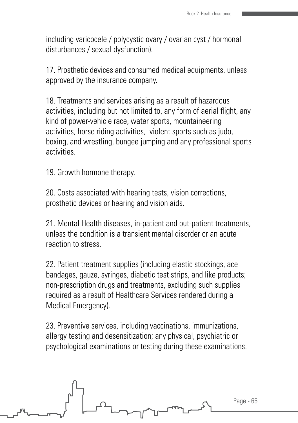including varicocele / polycystic ovary / ovarian cyst / hormonal disturbances / sexual dysfunction).

17. Prosthetic devices and consumed medical equipments, unless approved by the insurance company.

18. Treatments and services arising as a result of hazardous activities, including but not limited to, any form of aerial flight, any kind of power-vehicle race, water sports, mountaineering activities, horse riding activities, violent sports such as judo, boxing, and wrestling, bungee jumping and any professional sports activities.

19. Growth hormone therapy.

20. Costs associated with hearing tests, vision corrections, prosthetic devices or hearing and vision aids.

21. Mental Health diseases, in-patient and out-patient treatments, unless the condition is a transient mental disorder or an acute reaction to stress.

22. Patient treatment supplies (including elastic stockings, ace bandages, gauze, syringes, diabetic test strips, and like products; non-prescription drugs and treatments, excluding such supplies required as a result of Healthcare Services rendered during a Medical Emergency).

23. Preventive services, including vaccinations, immunizations, allergy testing and desensitization; any physical, psychiatric or psychological examinations or testing during these examinations.

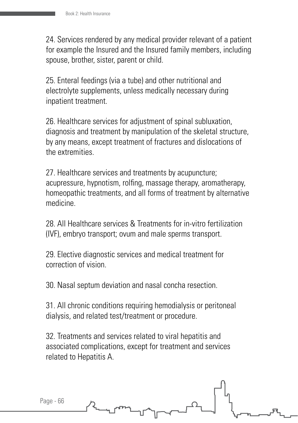24. Services rendered by any medical provider relevant of a patient for example the Insured and the Insured family members, including spouse, brother, sister, parent or child.

25. Enteral feedings (via a tube) and other nutritional and electrolyte supplements, unless medically necessary during inpatient treatment.

26. Healthcare services for adjustment of spinal subluxation, diagnosis and treatment by manipulation of the skeletal structure, by any means, except treatment of fractures and dislocations of the extremities.

27. Healthcare services and treatments by acupuncture; acupressure, hypnotism, rolfing, massage therapy, aromatherapy, homeopathic treatments, and all forms of treatment by alternative medicine.

28. All Healthcare services & Treatments for in-vitro fertilization (IVF), embryo transport; ovum and male sperms transport.

29. Elective diagnostic services and medical treatment for correction of vision.

30. Nasal septum deviation and nasal concha resection.

31. All chronic conditions requiring hemodialysis or peritoneal dialysis, and related test/treatment or procedure.

32. Treatments and services related to viral hepatitis and associated complications, except for treatment and services related to Hepatitis A.

Page - 66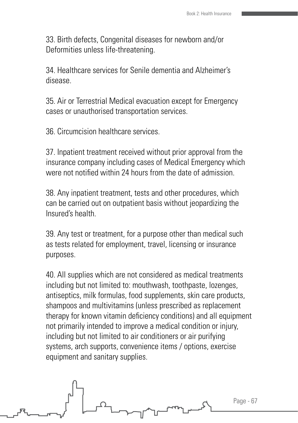33. Birth defects, Congenital diseases for newborn and/or Deformities unless life-threatening.

34. Healthcare services for Senile dementia and Alzheimer's disease.

35. Air or Terrestrial Medical evacuation except for Emergency cases or unauthorised transportation services.

36. Circumcision healthcare services.

37. Inpatient treatment received without prior approval from the insurance company including cases of Medical Emergency which were not notified within 24 hours from the date of admission.

38. Any inpatient treatment, tests and other procedures, which can be carried out on outpatient basis without jeopardizing the Insured's health.

39. Any test or treatment, for a purpose other than medical such as tests related for employment, travel, licensing or insurance purposes.

40. All supplies which are not considered as medical treatments including but not limited to: mouthwash, toothpaste, lozenges, antiseptics, milk formulas, food supplements, skin care products, shampoos and multivitamins (unless prescribed as replacement therapy for known vitamin deficiency conditions) and all equipment not primarily intended to improve a medical condition or injury, including but not limited to air conditioners or air purifying systems, arch supports, convenience items / options, exercise equipment and sanitary supplies.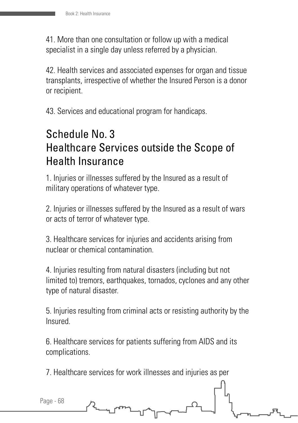41. More than one consultation or follow up with a medical specialist in a single day unless referred by a physician.

42. Health services and associated expenses for organ and tissue transplants, irrespective of whether the Insured Person is a donor or recipient.

43. Services and educational program for handicaps.

### Schedule No. 3 Healthcare Services outside the Scope of Health Insurance

1. Injuries or illnesses suffered by the Insured as a result of military operations of whatever type.

2. Injuries or illnesses suffered by the Insured as a result of wars or acts of terror of whatever type.

3. Healthcare services for injuries and accidents arising from nuclear or chemical contamination.

4. Injuries resulting from natural disasters (including but not limited to) tremors, earthquakes, tornados, cyclones and any other type of natural disaster.

5. Injuries resulting from criminal acts or resisting authority by the Insured.

6. Healthcare services for patients suffering from AIDS and its complications.

7. Healthcare services for work illnesses and injuries as per

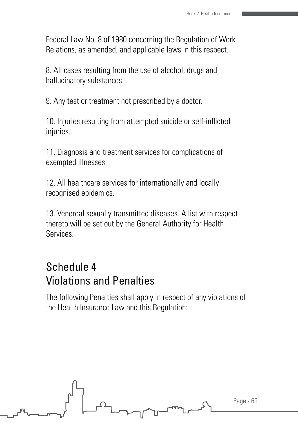Federal Law No. 8 of 1980 concerning the Regulation of Work Relations, as amended, and applicable laws in this respect.

8. All cases resulting from the use of alcohol, drugs and hallucinatory substances.

9. Any test or treatment not prescribed by a doctor.

10. Injuries resulting from attempted suicide or self-inflicted injuries.

11. Diagnosis and treatment services for complications of exempted illnesses.

12. All healthcare services for internationally and locally recognised epidemics.

13. Venereal sexually transmitted diseases. A list with respect thereto will be set out by the General Authority for Health Services.

### Schedule 4 Violations and Penalties

The following Penalties shall apply in respect of any violations of the Health Insurance Law and this Regulation: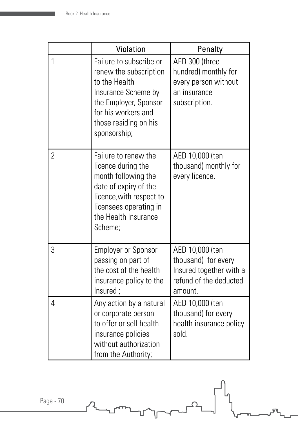|                | Violation                                                                                                                                                                           | Penalty                                                                                                |
|----------------|-------------------------------------------------------------------------------------------------------------------------------------------------------------------------------------|--------------------------------------------------------------------------------------------------------|
| 1              | Failure to subscribe or<br>renew the subscription<br>to the Health<br>Insurance Scheme by<br>the Employer, Sponsor<br>for his workers and<br>those residing on his<br>sponsorship;  | AED 300 (three<br>hundred) monthly for<br>every person without<br>an insurance<br>subscription.        |
| $\overline{2}$ | Failure to renew the<br>licence during the<br>month following the<br>date of expiry of the<br>licence, with respect to<br>licensees operating in<br>the Health Insurance<br>Scheme; | AED 10,000 (ten<br>thousand) monthly for<br>every licence.                                             |
| 3              | <b>Employer or Sponsor</b><br>passing on part of<br>the cost of the health<br>insurance policy to the<br>Insured;                                                                   | AED 10,000 (ten<br>thousand) for every<br>Insured together with a<br>refund of the deducted<br>amount. |
| 4              | Any action by a natural<br>or corporate person<br>to offer or sell health<br>insurance policies<br>without authorization<br>from the Authority;                                     | AED 10,000 (ten<br>thousand) for every<br>health insurance policy<br>sold.                             |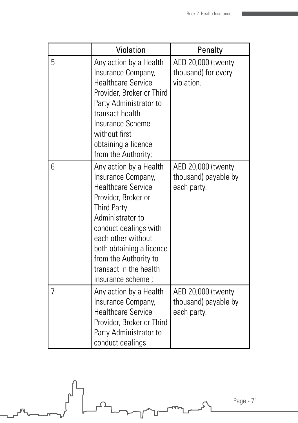|   | Violation                                                                                                                                                                                                                                                                                     | Penalty                                                   |
|---|-----------------------------------------------------------------------------------------------------------------------------------------------------------------------------------------------------------------------------------------------------------------------------------------------|-----------------------------------------------------------|
| 5 | Any action by a Health<br>Insurance Company,<br><b>Healthcare Service</b><br>Provider, Broker or Third<br>Party Administrator to<br>transact health<br>Insurance Scheme<br>without first<br>obtaining a licence<br>from the Authority;                                                        | AED 20,000 (twenty<br>thousand) for every<br>violation.   |
| 6 | Any action by a Health<br>Insurance Company,<br><b>Healthcare Service</b><br>Provider, Broker or<br><b>Third Party</b><br>Administrator to<br>conduct dealings with<br>each other without<br>both obtaining a licence<br>from the Authority to<br>transact in the health<br>insurance scheme; | AED 20,000 (twenty<br>thousand) payable by<br>each party. |
| 7 | Any action by a Health<br>Insurance Company,<br><b>Healthcare Service</b><br>Provider, Broker or Third<br>Party Administrator to<br>conduct dealings                                                                                                                                          | AED 20,000 (twenty<br>thousand) payable by<br>each party. |

 $\overline{\mathbf{C}}$ 

 $\overline{\mathcal{L}}$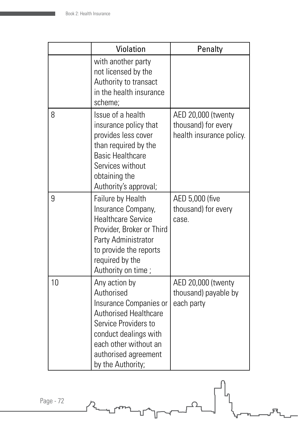|    | Violation                                                                                                                                                                                                    | Penalty                                                               |
|----|--------------------------------------------------------------------------------------------------------------------------------------------------------------------------------------------------------------|-----------------------------------------------------------------------|
|    | with another party<br>not licensed by the<br>Authority to transact<br>in the health insurance<br>scheme;                                                                                                     |                                                                       |
| 8  | Issue of a health<br>insurance policy that<br>provides less cover<br>than required by the<br><b>Basic Healthcare</b><br>Services without<br>obtaining the<br>Authority's approval;                           | AED 20,000 (twenty<br>thousand) for every<br>health insurance policy. |
| 9  | Failure by Health<br>Insurance Company,<br><b>Healthcare Service</b><br>Provider, Broker or Third<br>Party Administrator<br>to provide the reports<br>required by the<br>Authority on time;                  | AED 5,000 (five<br>thousand) for every<br>case.                       |
| 10 | Any action by<br>Authorised<br>Insurance Companies or<br><b>Authorised Healthcare</b><br>Service Providers to<br>conduct dealings with<br>each other without an<br>authorised agreement<br>by the Authority; | AED 20,000 (twenty<br>thousand) payable by<br>each party              |

F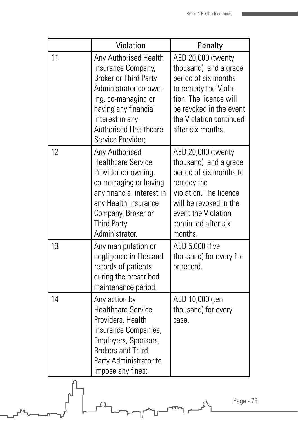|    | Violation                                                                                                                                                                                                                   | Penalty                                                                                                                                                                                           |
|----|-----------------------------------------------------------------------------------------------------------------------------------------------------------------------------------------------------------------------------|---------------------------------------------------------------------------------------------------------------------------------------------------------------------------------------------------|
| 11 | Any Authorised Health<br>Insurance Company,<br><b>Broker or Third Party</b><br>Administrator co-own-<br>ing, co-managing or<br>having any financial<br>interest in any<br><b>Authorised Healthcare</b><br>Service Provider; | AED 20,000 (twenty<br>thousand) and a grace<br>period of six months<br>to remedy the Viola-<br>tion. The licence will<br>be revoked in the event<br>the Violation continued<br>after six months.  |
| 12 | Any Authorised<br><b>Healthcare Service</b><br>Provider co-owning,<br>co-managing or having<br>any financial interest in<br>any Health Insurance<br>Company, Broker or<br><b>Third Party</b><br>Administrator.              | AED 20,000 (twenty<br>thousand) and a grace<br>period of six months to<br>remedy the<br>Violation. The licence<br>will be revoked in the<br>event the Violation<br>continued after six<br>months. |
| 13 | Any manipulation or<br>negligence in files and<br>records of patients<br>during the prescribed<br>maintenance period.                                                                                                       | AED 5,000 (five<br>thousand) for every file<br>or record.                                                                                                                                         |
| 14 | Any action by<br><b>Healthcare Service</b><br>Providers, Health<br>Insurance Companies,<br>Employers, Sponsors,<br><b>Brokers and Third</b><br>Party Administrator to<br>impose any fines;                                  | AED 10,000 (ten<br>thousand) for every<br>case.                                                                                                                                                   |
|    |                                                                                                                                                                                                                             | Page -                                                                                                                                                                                            |

g

ı,

Ù l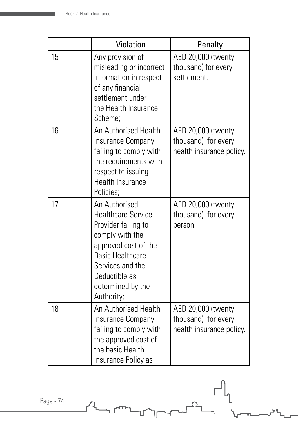|    | Violation                                                                                                                                                                                                       | Penalty                                                               |
|----|-----------------------------------------------------------------------------------------------------------------------------------------------------------------------------------------------------------------|-----------------------------------------------------------------------|
| 15 | Any provision of<br>misleading or incorrect<br>information in respect<br>of any financial<br>settlement under<br>the Health Insurance<br>Scheme;                                                                | AED 20,000 (twenty<br>thousand) for every<br>settlement.              |
| 16 | An Authorised Health<br>Insurance Company<br>failing to comply with<br>the requirements with<br>respect to issuing<br>Health Insurance<br>Policies;                                                             | AED 20,000 (twenty<br>thousand) for every<br>health insurance policy. |
| 17 | An Authorised<br><b>Healthcare Service</b><br>Provider failing to<br>comply with the<br>approved cost of the<br><b>Basic Healthcare</b><br>Services and the<br>Deductible as<br>determined by the<br>Authority; | AED 20,000 (twenty<br>thousand) for every<br>person.                  |
| 18 | An Authorised Health<br>Insurance Company<br>failing to comply with<br>the approved cost of<br>the basic Health<br>Insurance Policy as                                                                          | AED 20,000 (twenty<br>thousand) for every<br>health insurance policy. |

53.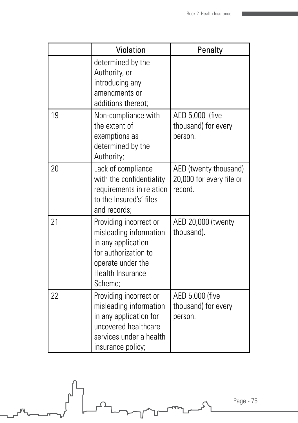|    | Violation                                                                                                                                                 | Penalty                                                      |
|----|-----------------------------------------------------------------------------------------------------------------------------------------------------------|--------------------------------------------------------------|
|    | determined by the<br>Authority, or<br>introducing any<br>amendments or<br>additions thereot;                                                              |                                                              |
| 19 | Non-compliance with<br>the extent of<br>exemptions as<br>determined by the<br>Authority;                                                                  | AED 5,000 (five<br>thousand) for every<br>person.            |
| 20 | Lack of compliance<br>with the confidentiality<br>requirements in relation<br>to the Insured's' files<br>and records;                                     | AED (twenty thousand)<br>20,000 for every file or<br>record. |
| 21 | Providing incorrect or<br>misleading information<br>in any application<br>for authorization to<br>operate under the<br><b>Health Insurance</b><br>Scheme; | AED 20,000 (twenty<br>thousand).                             |
| 22 | Providing incorrect or<br>misleading information<br>in any application for<br>uncovered healthcare<br>services under a health<br>insurance policy;        | AED 5,000 (five<br>thousand) for every<br>person.            |

 $\overline{\mathcal{L}}$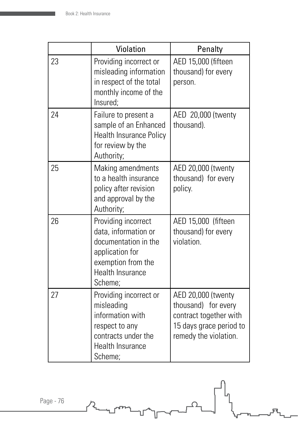|    | Violation                                                                                                                                   | Penalty                                                                                                                 |
|----|---------------------------------------------------------------------------------------------------------------------------------------------|-------------------------------------------------------------------------------------------------------------------------|
| 23 | Providing incorrect or<br>misleading information<br>in respect of the total<br>monthly income of the<br>Insured;                            | AED 15,000 (fifteen<br>thousand) for every<br>person.                                                                   |
| 24 | Failure to present a<br>sample of an Enhanced<br><b>Health Insurance Policy</b><br>for review by the<br>Authority;                          | AED 20,000 (twenty<br>thousand).                                                                                        |
| 25 | Making amendments<br>to a health insurance<br>policy after revision<br>and approval by the<br>Authority;                                    | AED 20,000 (twenty<br>thousand) for every<br>policy.                                                                    |
| 26 | Providing incorrect<br>data, information or<br>documentation in the<br>application for<br>exemption from the<br>Health Insurance<br>Scheme; | AED 15,000 (fifteen<br>thousand) for every<br>violation.                                                                |
| 27 | Providing incorrect or<br>misleading<br>information with<br>respect to any<br>contracts under the<br>Health Insurance<br>Scheme;            | AED 20,000 (twenty<br>thousand) for every<br>contract together with<br>15 days grace period to<br>remedy the violation. |

雷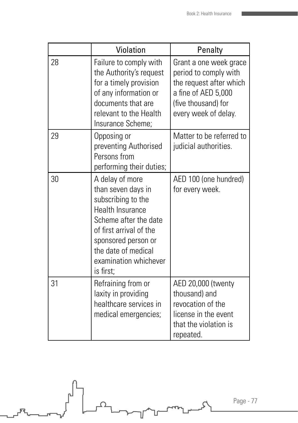|    | Violation                                                                                                                                                                                                                      | Penalty                                                                                                                                          |
|----|--------------------------------------------------------------------------------------------------------------------------------------------------------------------------------------------------------------------------------|--------------------------------------------------------------------------------------------------------------------------------------------------|
| 28 | Failure to comply with<br>the Authority's request<br>for a timely provision<br>of any information or<br>documents that are<br>relevant to the Health<br>Insurance Scheme;                                                      | Grant a one week grace<br>period to comply with<br>the request after which<br>a fine of AED 5,000<br>(five thousand) for<br>every week of delay. |
| 29 | Opposing or<br>preventing Authorised<br>Persons from<br>performing their duties;                                                                                                                                               | Matter to be referred to<br>judicial authorities.                                                                                                |
| 30 | A delay of more<br>than seven days in<br>subscribing to the<br><b>Health Insurance</b><br>Scheme after the date<br>of first arrival of the<br>sponsored person or<br>the date of medical<br>examination whichever<br>is first; | AED 100 (one hundred)<br>for every week.                                                                                                         |
| 31 | Refraining from or<br>laxity in providing<br>healthcare services in<br>medical emergencies;                                                                                                                                    | AED 20,000 (twenty<br>thousand) and<br>revocation of the<br>license in the event<br>that the violation is<br>repeated.                           |

 $\overline{\Omega}$ 

 $\overline{\mathcal{L}}$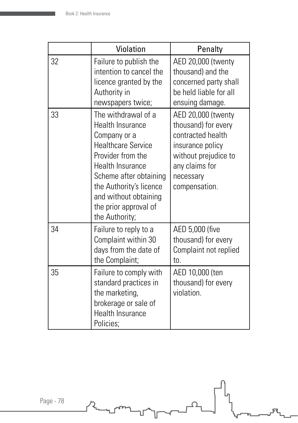|    | Violation                                                                                                                                                                                                                                                     | Penalty                                                                                                                                                    |
|----|---------------------------------------------------------------------------------------------------------------------------------------------------------------------------------------------------------------------------------------------------------------|------------------------------------------------------------------------------------------------------------------------------------------------------------|
| 32 | Failure to publish the<br>intention to cancel the<br>licence granted by the<br>Authority in<br>newspapers twice;                                                                                                                                              | AED 20,000 (twenty<br>thousand) and the<br>concerned party shall<br>be held liable for all<br>ensuing damage.                                              |
| 33 | The withdrawal of a<br><b>Health Insurance</b><br>Company or a<br><b>Healthcare Service</b><br>Provider from the<br>Health Insurance<br>Scheme after obtaining<br>the Authority's licence<br>and without obtaining<br>the prior approval of<br>the Authority; | AED 20,000 (twenty<br>thousand) for every<br>contracted health<br>insurance policy<br>without prejudice to<br>any claims for<br>necessary<br>compensation. |
| 34 | Failure to reply to a<br>Complaint within 30<br>days from the date of<br>the Complaint;                                                                                                                                                                       | AED 5,000 (five<br>thousand) for every<br>Complaint not replied<br>to.                                                                                     |
| 35 | Failure to comply with<br>standard practices in<br>the marketing,<br>brokerage or sale of<br><b>Health Insurance</b><br>Policies;                                                                                                                             | AED 10,000 (ten<br>thousand) for every<br>violation.                                                                                                       |

 $\overline{\Omega}$ 

53.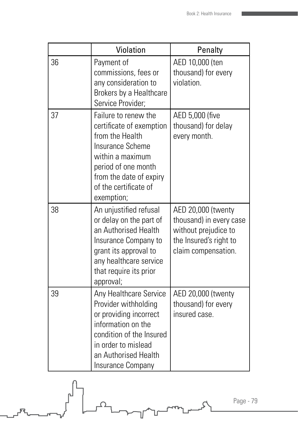|    | Violation                                                                                                                                                                                                   | Penalty                                                                                                                |
|----|-------------------------------------------------------------------------------------------------------------------------------------------------------------------------------------------------------------|------------------------------------------------------------------------------------------------------------------------|
| 36 | Payment of<br>commissions, fees or<br>any consideration to<br>Brokers by a Healthcare<br>Service Provider;                                                                                                  | AED 10,000 (ten<br>thousand) for every<br>violation.                                                                   |
| 37 | Failure to renew the<br>certificate of exemption<br>from the Health<br><b>Insurance Scheme</b><br>within a maximum<br>period of one month<br>from the date of expiry<br>of the certificate of<br>exemption; | AED 5,000 (five<br>thousand) for delay<br>every month.                                                                 |
| 38 | An unjustified refusal<br>or delay on the part of<br>an Authorised Health<br>Insurance Company to<br>grant its approval to<br>any healthcare service<br>that require its prior<br>approval;                 | AED 20,000 (twenty<br>thousand) in every case<br>without prejudice to<br>the Insured's right to<br>claim compensation. |
| 39 | Any Healthcare Service<br>Provider withholding<br>or providing incorrect<br>information on the<br>condition of the Insured<br>in order to mislead<br>an Authorised Health<br>Insurance Company              | AED 20,000 (twenty<br>thousand) for every<br>insured case.                                                             |

Page - 79

 $\zeta$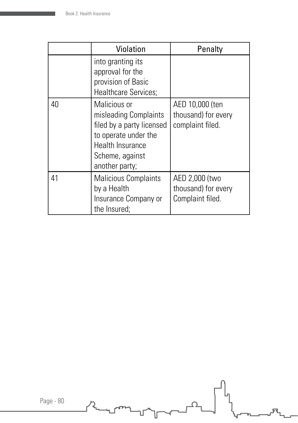|    | Violation                                                                                                                                           | Penalty                                                    |
|----|-----------------------------------------------------------------------------------------------------------------------------------------------------|------------------------------------------------------------|
|    | into granting its<br>approval for the<br>provision of Basic<br><b>Healthcare Services;</b>                                                          |                                                            |
| 40 | Malicious or<br>misleading Complaints<br>filed by a party licensed<br>to operate under the<br>Health Insurance<br>Scheme, against<br>another party; | AED 10,000 (ten<br>thousand) for every<br>complaint filed. |
| 41 | <b>Malicious Complaints</b><br>by a Health<br>Insurance Company or<br>the Insured;                                                                  | AED 2,000 (two<br>thousand) for every<br>Complaint filed.  |

 $\overline{\Omega}$ 

雷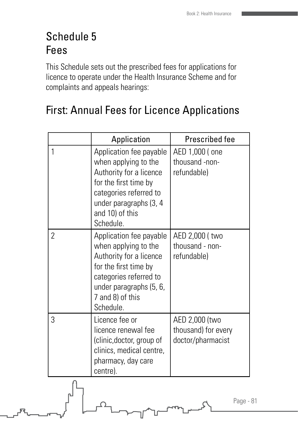### Schedule 5 Fees

This Schedule sets out the prescribed fees for applications for licence to operate under the Health Insurance Scheme and for complaints and appeals hearings:

### First: Annual Fees for Licence Applications

|                | Application                                                                                                                                                                               | Prescribed fee                                             |
|----------------|-------------------------------------------------------------------------------------------------------------------------------------------------------------------------------------------|------------------------------------------------------------|
| 1              | Application fee payable<br>when applying to the<br>Authority for a licence<br>for the first time by<br>categories referred to<br>under paragraphs (3, 4<br>and 10) of this<br>Schedule.   | AED 1,000 ( one<br>thousand -non-<br>refundable)           |
| $\overline{2}$ | Application fee payable<br>when applying to the<br>Authority for a licence<br>for the first time by<br>categories referred to<br>under paragraphs (5, 6,<br>7 and 8) of this<br>Schedule. | AED 2,000 (two<br>thousand - non-<br>refundable)           |
| 3              | Licence fee or<br>licence renewal fee<br>(clinic, doctor, group of<br>clinics, medical centre,<br>pharmacy, day care<br>centre).                                                          | AED 2,000 (two<br>thousand) for every<br>doctor/pharmacist |
|                |                                                                                                                                                                                           | Page - 81                                                  |

U 11.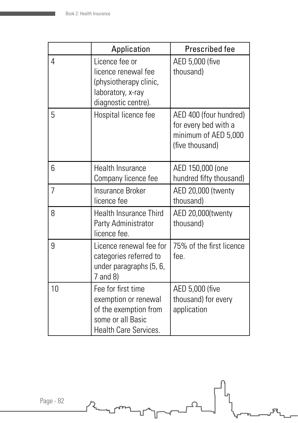|                | Application                                                                                                              | Prescribed fee                                                                            |
|----------------|--------------------------------------------------------------------------------------------------------------------------|-------------------------------------------------------------------------------------------|
| 4              | Licence fee or<br>licence renewal fee<br>(physiotherapy clinic,<br>laboratory, x-ray<br>diagnostic centre).              | AED 5,000 (five<br>thousand)                                                              |
| 5              | Hospital licence fee                                                                                                     | AED 400 (four hundred)<br>for every bed with a<br>minimum of AED 5,000<br>(five thousand) |
| 6              | <b>Health Insurance</b><br>Company licence fee                                                                           | AED 150,000 (one<br>hundred fifty thousand)                                               |
| $\overline{7}$ | <b>Insurance Broker</b><br>licence fee                                                                                   | AED 20,000 (twenty<br>thousand)                                                           |
| 8              | <b>Health Insurance Third</b><br>Party Administrator<br>licence fee.                                                     | AED 20,000(twenty<br>thousand)                                                            |
| 9              | Licence renewal fee for<br>categories referred to<br>under paragraphs (5, 6,<br>7 and 8)                                 | 75% of the first licence<br>fee.                                                          |
| 10             | Fee for first time<br>exemption or renewal<br>of the exemption from<br>some or all Basic<br><b>Health Care Services.</b> | AED 5,000 (five<br>thousand) for every<br>application                                     |

 $\overline{\Omega}$ 

雷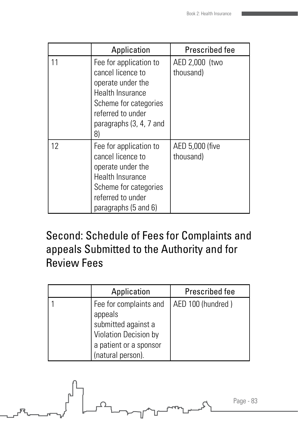|    | Application                                                                                                                                                                | Prescribed fee               |
|----|----------------------------------------------------------------------------------------------------------------------------------------------------------------------------|------------------------------|
| 11 | Fee for application to<br>cancel licence to<br>operate under the<br><b>Health Insurance</b><br>Scheme for categories<br>referred to under<br>paragraphs (3, 4, 7 and<br>8) | AED 2,000 (two<br>thousand)  |
| 12 | Fee for application to<br>cancel licence to<br>operate under the<br>Health Insurance<br>Scheme for categories<br>referred to under<br>paragraphs (5 and 6)                 | AED 5,000 (five<br>thousand) |

#### Second: Schedule of Fees for Complaints and appeals Submitted to the Authority and for Review Fees

| Application                                                                                                                      | Prescribed fee    |
|----------------------------------------------------------------------------------------------------------------------------------|-------------------|
| Fee for complaints and<br>appeals<br>submitted against a<br>Violation Decision by<br>a patient or a sponsor<br>(natural person). | AED 100 (hundred) |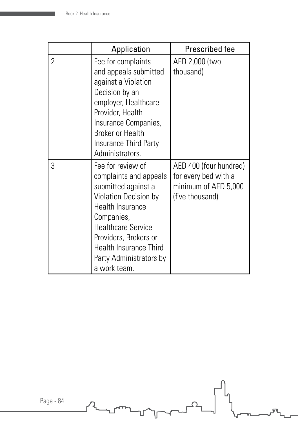|   | Application                                                                                                                                                                                                                                                     | Prescribed fee                                                                            |
|---|-----------------------------------------------------------------------------------------------------------------------------------------------------------------------------------------------------------------------------------------------------------------|-------------------------------------------------------------------------------------------|
| 2 | Fee for complaints<br>and appeals submitted<br>against a Violation<br>Decision by an<br>employer, Healthcare<br>Provider, Health<br>Insurance Companies,<br><b>Broker or Health</b><br>Insurance Third Party<br>Administrators.                                 | AED 2,000 (two<br>thousand)                                                               |
| 3 | Fee for review of<br>complaints and appeals<br>submitted against a<br>Violation Decision by<br>Health Insurance<br>Companies,<br><b>Healthcare Service</b><br>Providers, Brokers or<br><b>Health Insurance Third</b><br>Party Administrators by<br>a work team. | AED 400 (four hundred)<br>for every bed with a<br>minimum of AED 5,000<br>(five thousand) |

 $\overline{\Omega}$ 

雷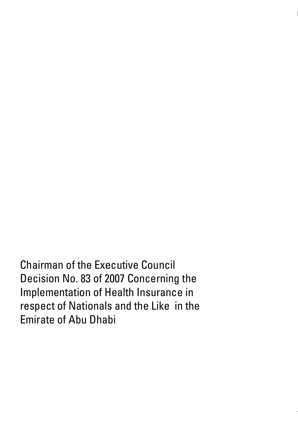Chairman of the Executive Council Decision No. 83 of 2007 Concerning the Implementation of Health Insurance in respect of Nationals and the Like in the Emirate of Abu Dhabi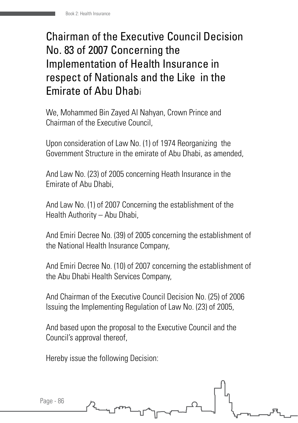#### Chairman of the Executive Council Decision No. 83 of 2007 Concerning the Implementation of Health Insurance in respect of Nationals and the Like in the Emirate of Abu Dhabi

We, Mohammed Bin Zayed Al Nahyan, Crown Prince and Chairman of the Executive Council,

Upon consideration of Law No. (1) of 1974 Reorganizing the Government Structure in the emirate of Abu Dhabi, as amended,

And Law No. (23) of 2005 concerning Heath Insurance in the Emirate of Abu Dhabi,

And Law No. (1) of 2007 Concerning the establishment of the Health Authority – Abu Dhabi,

And Emiri Decree No. (39) of 2005 concerning the establishment of the National Health Insurance Company,

And Emiri Decree No. (10) of 2007 concerning the establishment of the Abu Dhabi Health Services Company,

And Chairman of the Executive Council Decision No. (25) of 2006 Issuing the Implementing Regulation of Law No. (23) of 2005,

And based upon the proposal to the Executive Council and the Council's approval thereof,

Hereby issue the following Decision:

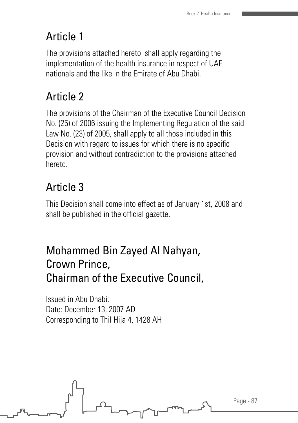### Article 1

The provisions attached hereto shall apply regarding the implementation of the health insurance in respect of UAE nationals and the like in the Emirate of Abu Dhabi.

## Article 2

The provisions of the Chairman of the Executive Council Decision No. (25) of 2006 issuing the Implementing Regulation of the said Law No. (23) of 2005, shall apply to all those included in this Decision with regard to issues for which there is no specific provision and without contradiction to the provisions attached hereto.

# Article 3

This Decision shall come into effect as of January 1st, 2008 and shall be published in the official gazette.

### Mohammed Bin Zayed Al Nahyan, Crown Prince, Chairman of the Executive Council,

Issued in Abu Dhabi: Date: December 13, 2007 AD Corresponding to Thil Hija 4, 1428 AH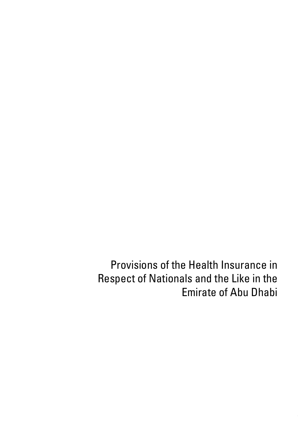Provisions of the Health Insurance in Respect of Nationals and the Like in the Emirate of Abu Dhabi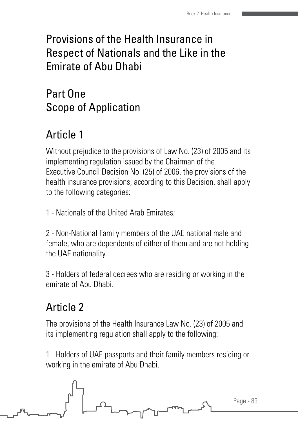#### Provisions of the Health Insurance in Respect of Nationals and the Like in the Emirate of Abu Dhabi

#### Part One Scope of Application

### Article 1

Without prejudice to the provisions of Law No. (23) of 2005 and its implementing regulation issued by the Chairman of the Executive Council Decision No. (25) of 2006, the provisions of the health insurance provisions, according to this Decision, shall apply to the following categories:

1 - Nationals of the United Arab Emirates;

2 - Non-National Family members of the UAE national male and female, who are dependents of either of them and are not holding the UAE nationality.

3 - Holders of federal decrees who are residing or working in the emirate of Abu Dhabi.

# Article 2

The provisions of the Health Insurance Law No. (23) of 2005 and its implementing regulation shall apply to the following:

1 - Holders of UAE passports and their family members residing or working in the emirate of Abu Dhabi.

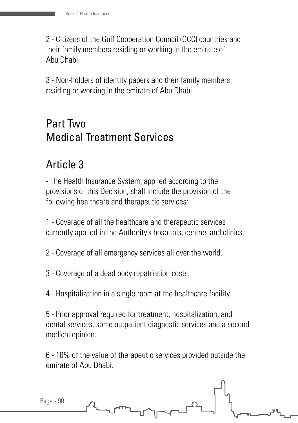2 - Citizens of the Gulf Cooperation Council (GCC) countries and their family members residing or working in the emirate of Abu Dhabi.

3 - Non-holders of identity papers and their family members residing or working in the emirate of Abu Dhabi.

#### Part Two Medical Treatment Services

### Article 3

- The Health Insurance System, applied according to the provisions of this Decision, shall include the provision of the following healthcare and therapeutic services:

1 - Coverage of all the healthcare and therapeutic services currently applied in the Authority's hospitals, centres and clinics.

2 - Coverage of all emergency services all over the world.

3 - Coverage of a dead body repatriation costs.

4 - Hospitalization in a single room at the healthcare facility.

5 - Prior approval required for treatment, hospitalization, and dental services, some outpatient diagnostic services and a second medical opinion.

6 - 10% of the value of therapeutic services provided outside the emirate of Abu Dhabi.

Page - 90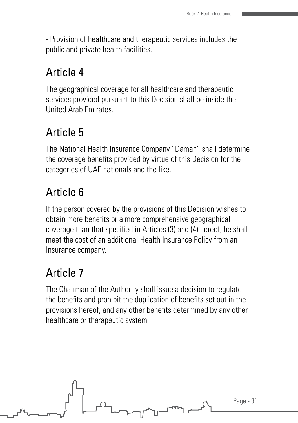- Provision of healthcare and therapeutic services includes the public and private health facilities.

#### Article 4

The geographical coverage for all healthcare and therapeutic services provided pursuant to this Decision shall be inside the United Arab Emirates.

## Article 5

The National Health Insurance Company "Daman" shall determine the coverage benefits provided by virtue of this Decision for the categories of UAE nationals and the like.

# Article 6

If the person covered by the provisions of this Decision wishes to obtain more benefits or a more comprehensive geographical coverage than that specified in Articles (3) and (4) hereof, he shall meet the cost of an additional Health Insurance Policy from an Insurance company.

# Article 7

The Chairman of the Authority shall issue a decision to regulate the benefits and prohibit the duplication of benefits set out in the provisions hereof, and any other benefits determined by any other healthcare or therapeutic system.

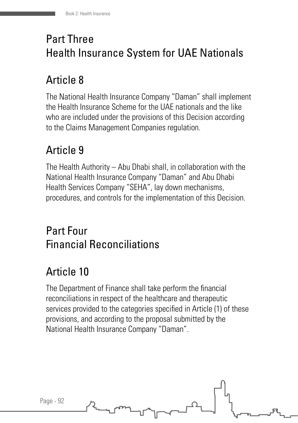### Part Three Health Insurance System for UAE Nationals

## Article 8

The National Health Insurance Company "Daman" shall implement the Health Insurance Scheme for the UAE nationals and the like who are included under the provisions of this Decision according to the Claims Management Companies regulation.

# Article 9

The Health Authority – Abu Dhabi shall, in collaboration with the National Health Insurance Company "Daman" and Abu Dhabi Health Services Company "SEHA", lay down mechanisms, procedures, and controls for the implementation of this Decision.

### Part Four Financial Reconciliations

# Article 10

Page - 92

The Department of Finance shall take perform the financial reconciliations in respect of the healthcare and therapeutic services provided to the categories specified in Article (1) of these provisions, and according to the proposal submitted by the National Health Insurance Company "Daman".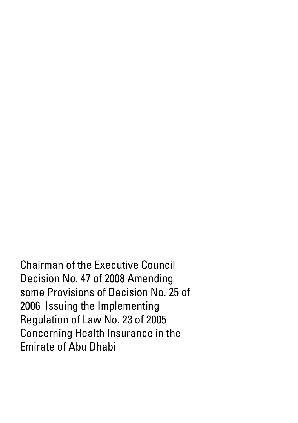Chairman of the Executive Council Decision No. 47 of 2008 Amending some Provisions of Decision No. 25 of 2006 Issuing the Implementing Regulation of Law No. 23 of 2005 Concerning Health Insurance in the Emirate of Abu Dhabi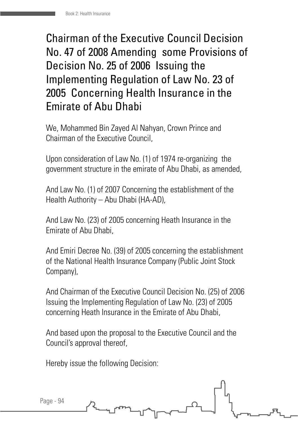#### Chairman of the Executive Council Decision No. 47 of 2008 Amending some Provisions of Decision No. 25 of 2006 Issuing the Implementing Regulation of Law No. 23 of 2005 Concerning Health Insurance in the Emirate of Abu Dhabi

We, Mohammed Bin Zayed Al Nahyan, Crown Prince and Chairman of the Executive Council,

Upon consideration of Law No. (1) of 1974 re-organizing the government structure in the emirate of Abu Dhabi, as amended,

And Law No. (1) of 2007 Concerning the establishment of the Health Authority – Abu Dhabi (HA-AD),

And Law No. (23) of 2005 concerning Heath Insurance in the Emirate of Abu Dhabi,

And Emiri Decree No. (39) of 2005 concerning the establishment of the National Health Insurance Company (Public Joint Stock Company),

And Chairman of the Executive Council Decision No. (25) of 2006 Issuing the Implementing Regulation of Law No. (23) of 2005 concerning Heath Insurance in the Emirate of Abu Dhabi,

And based upon the proposal to the Executive Council and the Council's approval thereof,

Hereby issue the following Decision:

Page - 94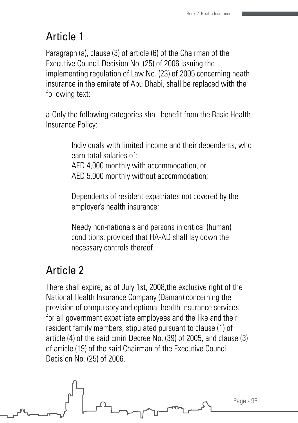## Article 1

Paragraph (a), clause (3) of article (6) of the Chairman of the Executive Council Decision No. (25) of 2006 issuing the implementing regulation of Law No. (23) of 2005 concerning heath insurance in the emirate of Abu Dhabi, shall be replaced with the following text:

a-Only the following categories shall benefit from the Basic Health Insurance Policy:

> Individuals with limited income and their dependents, who earn total salaries of:

AED 4,000 monthly with accommodation, or AED 5,000 monthly without accommodation;

Dependents of resident expatriates not covered by the employer's health insurance;

Needy non-nationals and persons in critical (human) conditions, provided that HA-AD shall lay down the necessary controls thereof.

## Article 2

There shall expire, as of July 1st, 2008,the exclusive right of the National Health Insurance Company (Daman) concerning the provision of compulsory and optional health insurance services for all government expatriate employees and the like and their resident family members, stipulated pursuant to clause (1) of article (4) of the said Emiri Decree No. (39) of 2005, and clause (3) of article (19) of the said Chairman of the Executive Council Decision No. (25) of 2006.

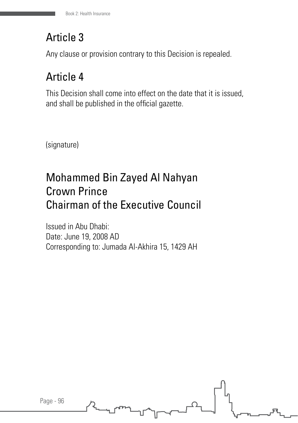### Article 3

Any clause or provision contrary to this Decision is repealed.

### Article 4

This Decision shall come into effect on the date that it is issued, and shall be published in the official gazette.

(signature)

### Mohammed Bin Zayed Al Nahyan Crown Prince Chairman of the Executive Council

Issued in Abu Dhabi: Date: June 19, 2008 AD Corresponding to: Jumada Al-Akhira 15, 1429 AH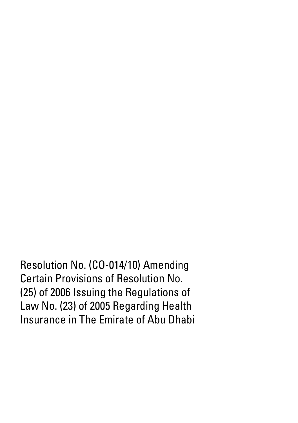Resolution No. (CO-014/10) Amending Certain Provisions of Resolution No. (25) of 2006 Issuing the Regulations of Law No. (23) of 2005 Regarding Health Insurance in The Emirate of Abu Dhabi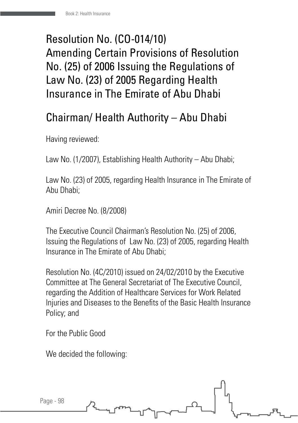### Resolution No. (CO-014/10) Amending Certain Provisions of Resolution No. (25) of 2006 Issuing the Regulations of Law No. (23) of 2005 Regarding Health Insurance in The Emirate of Abu Dhabi

### Chairman/ Health Authority – Abu Dhabi

Having reviewed:

Law No. (1/2007), Establishing Health Authority – Abu Dhabi;

Law No. (23) of 2005, regarding Health Insurance in The Emirate of Abu Dhabi;

Amiri Decree No. (8/2008)

The Executive Council Chairman's Resolution No. (25) of 2006, Issuing the Regulations of Law No. (23) of 2005, regarding Health Insurance in The Emirate of Abu Dhabi;

Resolution No. (4C/2010) issued on 24/02/2010 by the Executive Committee at The General Secretariat of The Executive Council, regarding the Addition of Healthcare Services for Work Related Injuries and Diseases to the Benefits of the Basic Health Insurance Policy; and

For the Public Good

We decided the following:

Page - 98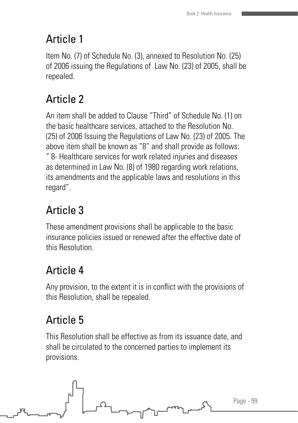## Article 1

Item No. (7) of Schedule No. (3), annexed to Resolution No. (25) of 2006 issuing the Regulations of Law No. (23) of 2005, shall be repealed.

## Article 2

An item shall be added to Clause "Third" of Schedule No. (1) on the basic healthcare services, attached to the Resolution No. (25) of 2006 Issuing the Regulations of Law No. (23) of 2005. The above item shall be known as "8" and shall provide as follows: " 8- Healthcare services for work related injuries and diseases as determined in Law No. (8) of 1980 regarding work relations, its amendments and the applicable laws and resolutions in this regard".

# Article 3

These amendment provisions shall be applicable to the basic insurance policies issued or renewed after the effective date of this Resolution.

# Article 4

Any provision, to the extent it is in conflict with the provisions of this Resolution, shall be repealed.

# Article 5

This Resolution shall be effective as from its issuance date, and shall be circulated to the concerned parties to implement its provisions.

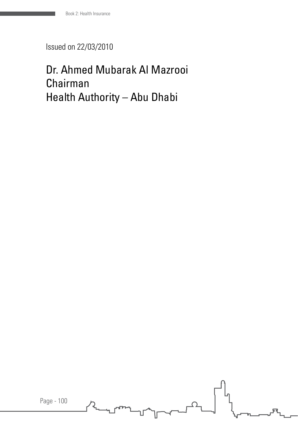Issued on 22/03/2010

### Dr. Ahmed Mubarak Al Mazrooi Chairman Health Authority – Abu Dhabi

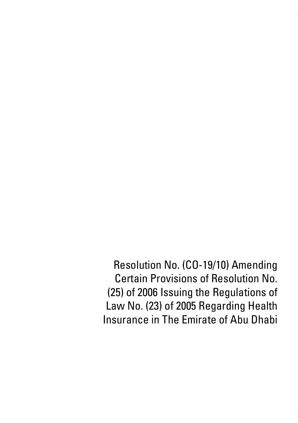Resolution No. (CO-19/10) Amending Certain Provisions of Resolution No. (25) of 2006 Issuing the Regulations of Law No. (23) of 2005 Regarding Health Insurance in The Emirate of Abu Dhabi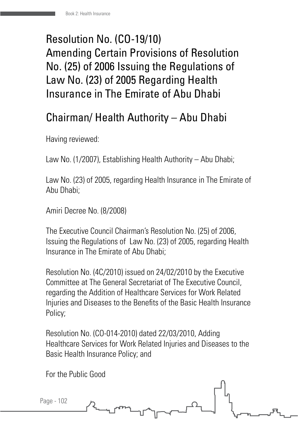### Resolution No. (CO-19/10) Amending Certain Provisions of Resolution No. (25) of 2006 Issuing the Regulations of Law No. (23) of 2005 Regarding Health Insurance in The Emirate of Abu Dhabi

### Chairman/ Health Authority – Abu Dhabi

Having reviewed:

Law No. (1/2007), Establishing Health Authority – Abu Dhabi;

Law No. (23) of 2005, regarding Health Insurance in The Emirate of Abu Dhabi;

Amiri Decree No. (8/2008)

The Executive Council Chairman's Resolution No. (25) of 2006, Issuing the Regulations of Law No. (23) of 2005, regarding Health Insurance in The Emirate of Abu Dhabi;

Resolution No. (4C/2010) issued on 24/02/2010 by the Executive Committee at The General Secretariat of The Executive Council, regarding the Addition of Healthcare Services for Work Related Injuries and Diseases to the Benefits of the Basic Health Insurance Policy;

Resolution No. (CO-014-2010) dated 22/03/2010, Adding Healthcare Services for Work Related Injuries and Diseases to the Basic Health Insurance Policy; and

For the Public Good

Page - 102